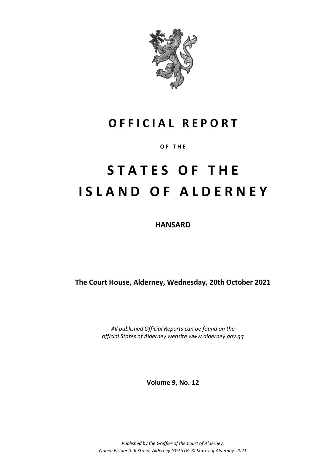

# **O F F I C I A L R E P O R T**

**O F T H E**

# **S T A T E S O F T H E I S L A N D O F A L D E R N E Y**

**HANSARD**

**The Court House, Alderney, Wednesday, 20th October 2021**

*All published Official Reports can be found on the official States of Alderney website www.alderney.gov.gg*

**Volume 9, No. 12**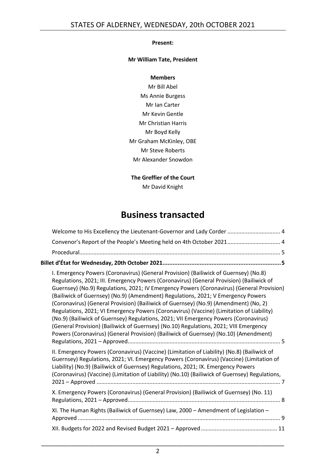#### **Present:**

# **Mr William Tate, President**

#### **Members**

Mr Bill Abel Ms Annie Burgess Mr Ian Carter Mr Kevin Gentle Mr Christian Harris Mr Boyd Kelly Mr Graham McKinley, OBE Mr Steve Roberts Mr Alexander Snowdon

# **The Greffier of the Court**

Mr David Knight

# **Business transacted**

|                                                                             | Welcome to His Excellency the Lieutenant-Governor and Lady Corder  4                                                                                                                                                                                                                                                                                                                                                                                                                                                                                                                                                                                                                                                                                                                                                           |  |  |  |  |
|-----------------------------------------------------------------------------|--------------------------------------------------------------------------------------------------------------------------------------------------------------------------------------------------------------------------------------------------------------------------------------------------------------------------------------------------------------------------------------------------------------------------------------------------------------------------------------------------------------------------------------------------------------------------------------------------------------------------------------------------------------------------------------------------------------------------------------------------------------------------------------------------------------------------------|--|--|--|--|
|                                                                             | Convenor's Report of the People's Meeting held on 4th October 2021 4                                                                                                                                                                                                                                                                                                                                                                                                                                                                                                                                                                                                                                                                                                                                                           |  |  |  |  |
|                                                                             |                                                                                                                                                                                                                                                                                                                                                                                                                                                                                                                                                                                                                                                                                                                                                                                                                                |  |  |  |  |
| Billet d'État for Wednesday, 20th October 2021…………………………………………………………………………5 |                                                                                                                                                                                                                                                                                                                                                                                                                                                                                                                                                                                                                                                                                                                                                                                                                                |  |  |  |  |
|                                                                             | I. Emergency Powers (Coronavirus) (General Provision) (Bailiwick of Guernsey) (No.8)<br>Regulations, 2021; III. Emergency Powers (Coronavirus) (General Provision) (Bailiwick of<br>Guernsey) (No.9) Regulations, 2021; IV Emergency Powers (Coronavirus) (General Provision)<br>(Bailiwick of Guernsey) (No.9) (Amendment) Regulations, 2021; V Emergency Powers<br>(Coronavirus) (General Provision) (Bailiwick of Guernsey) (No.9) (Amendment) (No. 2)<br>Regulations, 2021; VI Emergency Powers (Coronavirus) (Vaccine) (Limitation of Liability)<br>(No.9) (Bailiwick of Guernsey) Regulations, 2021; VII Emergency Powers (Coronavirus)<br>(General Provision) (Bailiwick of Guernsey) (No.10) Regulations, 2021; VIII Emergency<br>Powers (Coronavirus) (General Provision) (Bailiwick of Guernsey) (No.10) (Amendment) |  |  |  |  |
|                                                                             | II. Emergency Powers (Coronavirus) (Vaccine) (Limitation of Liability) (No.8) (Bailiwick of<br>Guernsey) Regulations, 2021; VI. Emergency Powers (Coronavirus) (Vaccine) (Limitation of<br>Liability) (No.9) (Bailiwick of Guernsey) Regulations, 2021; IX. Emergency Powers<br>(Coronavirus) (Vaccine) (Limitation of Liability) (No.10) (Bailiwick of Guernsey) Regulations,                                                                                                                                                                                                                                                                                                                                                                                                                                                 |  |  |  |  |
|                                                                             | X. Emergency Powers (Coronavirus) (General Provision) (Bailiwick of Guernsey) (No. 11)                                                                                                                                                                                                                                                                                                                                                                                                                                                                                                                                                                                                                                                                                                                                         |  |  |  |  |
|                                                                             | XI. The Human Rights (Bailiwick of Guernsey) Law, 2000 - Amendment of Legislation -                                                                                                                                                                                                                                                                                                                                                                                                                                                                                                                                                                                                                                                                                                                                            |  |  |  |  |
|                                                                             |                                                                                                                                                                                                                                                                                                                                                                                                                                                                                                                                                                                                                                                                                                                                                                                                                                |  |  |  |  |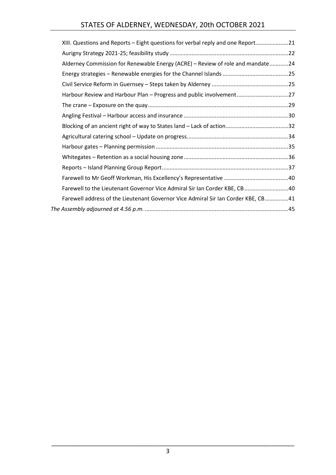# STATES OF ALDERNEY, WEDNESDAY, 20th OCTOBER 2021

| XIII. Questions and Reports – Eight questions for verbal reply and one Report21   |  |
|-----------------------------------------------------------------------------------|--|
|                                                                                   |  |
| Alderney Commission for Renewable Energy (ACRE) - Review of role and mandate24    |  |
|                                                                                   |  |
|                                                                                   |  |
| Harbour Review and Harbour Plan - Progress and public involvement27               |  |
|                                                                                   |  |
|                                                                                   |  |
|                                                                                   |  |
|                                                                                   |  |
|                                                                                   |  |
|                                                                                   |  |
|                                                                                   |  |
|                                                                                   |  |
| Farewell to the Lieutenant Governor Vice Admiral Sir Ian Corder KBE, CB40         |  |
| Farewell address of the Lieutenant Governor Vice Admiral Sir Ian Corder KBE, CB41 |  |
|                                                                                   |  |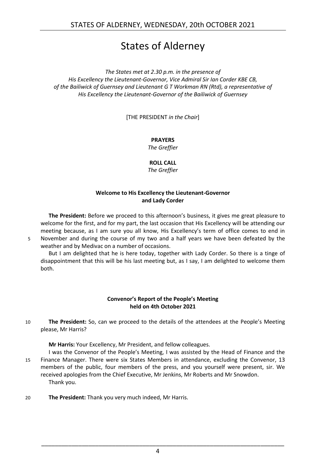# States of Alderney

*The States met at 2.30 p.m. in the presence of His Excellency the Lieutenant-Governor, Vice Admiral Sir Ian Corder KBE CB, of the Bailiwick of Guernsey and Lieutenant G T Workman RN (Rtd), a representative of His Excellency the Lieutenant-Governor of the Bailiwick of Guernsey*

[THE PRESIDENT *in the Chair*]

**PRAYERS**

*The Greffier*

#### **ROLL CALL**

*The Greffier*

# **Welcome to His Excellency the Lieutenant-Governor and Lady Corder**

<span id="page-3-0"></span>**The President:** Before we proceed to this afternoon's business, it gives me great pleasure to welcome for the first, and for my part, the last occasion that His Excellency will be attending our meeting because, as I am sure you all know, His Excellency's term of office comes to end in 5 November and during the course of my two and a half years we have been defeated by the weather and by Medivac on a number of occasions.

But I am delighted that he is here today, together with Lady Corder. So there is a tinge of disappointment that this will be his last meeting but, as I say, I am delighted to welcome them both.

#### **Convenor's Report of the People's Meeting held on 4th October 2021**

<span id="page-3-1"></span>10 **The President:** So, can we proceed to the details of the attendees at the People's Meeting please, Mr Harris?

**Mr Harris:** Your Excellency, Mr President, and fellow colleagues.

- I was the Convenor of the People's Meeting, I was assisted by the Head of Finance and the 15 Finance Manager. There were six States Members in attendance, excluding the Convenor, 13 members of the public, four members of the press, and you yourself were present, sir. We received apologies from the Chief Executive, Mr Jenkins, Mr Roberts and Mr Snowdon. Thank you.
- 20 **The President:** Thank you very much indeed, Mr Harris.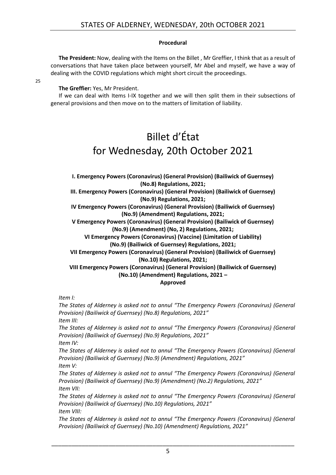### **Procedural**

<span id="page-4-0"></span>**The President:** Now, dealing with the Items on the Billet , Mr Greffier, I think that as a result of conversations that have taken place between yourself, Mr Abel and myself, we have a way of dealing with the COVID regulations which might short circuit the proceedings.

25

### **The Greffier:** Yes, Mr President.

<span id="page-4-1"></span>If we can deal with Items I-IX together and we will then split them in their subsections of general provisions and then move on to the matters of limitation of liability.

# Billet d'État for Wednesday, 20th October 2021

<span id="page-4-2"></span>**I. Emergency Powers (Coronavirus) (General Provision) (Bailiwick of Guernsey) (No.8) Regulations, 2021;**

**III. Emergency Powers (Coronavirus) (General Provision) (Bailiwick of Guernsey) (No.9) Regulations, 2021;**

**IV Emergency Powers (Coronavirus) (General Provision) (Bailiwick of Guernsey) (No.9) (Amendment) Regulations, 2021;**

**V Emergency Powers (Coronavirus) (General Provision) (Bailiwick of Guernsey) (No.9) (Amendment) (No, 2) Regulations, 2021;**

**VI Emergency Powers (Coronavirus) (Vaccine) (Limitation of Liability) (No.9) (Bailiwick of Guernsey) Regulations, 2021;**

**VII Emergency Powers (Coronavirus) (General Provision) (Bailiwick of Guernsey) (No.10) Regulations, 2021;**

**VIII Emergency Powers (Coronavirus) (General Provision) (Bailiwick of Guernsey) (No.10) (Amendment) Regulations, 2021 –**

### **Approved**

*Item I:*

*The States of Alderney is asked not to annul "The Emergency Powers (Coronavirus) (General Provision) (Bailiwick of Guernsey) (No.8) Regulations, 2021"*

*Item III:*

*The States of Alderney is asked not to annul "The Emergency Powers (Coronavirus) (General Provision) (Bailiwick of Guernsey) (No.9) Regulations, 2021"*

*Item IV:* 

*The States of Alderney is asked not to annul "The Emergency Powers (Coronavirus) (General Provision) (Bailiwick of Guernsey) (No.9) (Amendment) Regulations, 2021" Item V:*

*The States of Alderney is asked not to annul "The Emergency Powers (Coronavirus) (General Provision) (Bailiwick of Guernsey) (No.9) (Amendment) (No.2) Regulations, 2021" Item VII:*

*The States of Alderney is asked not to annul "The Emergency Powers (Coronavirus) (General Provision) (Bailiwick of Guernsey) (No.10) Regulations, 2021" Item VIII:*

*The States of Alderney is asked not to annul "The Emergency Powers (Coronavirus) (General Provision) (Bailiwick of Guernsey) (No.10) (Amendment) Regulations, 2021"*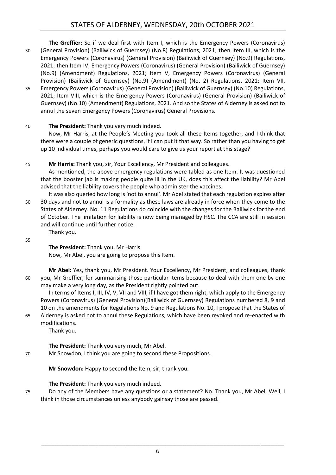**The Greffier:** So if we deal first with Item I, which is the Emergency Powers (Coronavirus) 30 (General Provision) (Bailiwick of Guernsey) (No.8) Regulations, 2021; then Item III, which is the Emergency Powers (Coronavirus) (General Provision) (Bailiwick of Guernsey) (No.9) Regulations, 2021; then Item IV, Emergency Powers (Coronavirus) (General Provision) (Bailiwick of Guernsey) (No.9) (Amendment) Regulations, 2021; Item V, Emergency Powers (Coronavirus) (General Provision) (Bailiwick of Guernsey) (No.9) (Amendment) (No, 2) Regulations, 2021; Item VII,

35 Emergency Powers (Coronavirus) (General Provision) (Bailiwick of Guernsey) (No.10) Regulations, 2021; Item VIII, which is the Emergency Powers (Coronavirus) (General Provision) (Bailiwick of Guernsey) (No.10) (Amendment) Regulations, 2021. And so the States of Alderney is asked not to annul the seven Emergency Powers (Coronavirus) General Provisions.

# 40 **The President:** Thank you very much indeed.

Now, Mr Harris, at the People's Meeting you took all these Items together, and I think that there were a couple of generic questions, if I can put it that way. So rather than you having to get up 10 individual times, perhaps you would care to give us your report at this stage?

45 **Mr Harris:** Thank you, sir, Your Excellency, Mr President and colleagues.

As mentioned, the above emergency regulations were tabled as one Item. It was questioned that the booster jab is making people quite ill in the UK, does this affect the liability? Mr Abel advised that the liability covers the people who administer the vaccines.

It was also queried how long is 'not to annul'. Mr Abel stated that each regulation expires after 50 30 days and not to annul is a formality as these laws are already in force when they come to the States of Alderney. No. 11 Regulations do coincide with the changes for the Bailiwick for the end of October. The limitation for liability is now being managed by HSC. The CCA are still in session and will continue until further notice. Thank you.

55

**The President:** Thank you, Mr Harris.

Now, Mr Abel, you are going to propose this Item.

**Mr Abel:** Yes, thank you, Mr President. Your Excellency, Mr President, and colleagues, thank 60 you, Mr Greffier, for summarising those particular Items because to deal with them one by one may make a very long day, as the President rightly pointed out.

In terms of Items I, III, IV, V, VII and VIII, if I have got them right, which apply to the Emergency Powers (Coronavirus) (General Provision)(Bailiwick of Guernsey) Regulations numbered 8, 9 and 10 on the amendments for Regulations No. 9 and Regulations No. 10, I propose that the States of 65 Alderney is asked not to annul these Regulations, which have been revoked and re-enacted with modifications.

Thank you.

**The President:** Thank you very much, Mr Abel.

70 Mr Snowdon, I think you are going to second these Propositions.

**Mr Snowdon:** Happy to second the Item, sir, thank you.

# **The President:** Thank you very much indeed.

75 Do any of the Members have any questions or a statement? No. Thank you, Mr Abel. Well, I think in those circumstances unless anybody gainsay those are passed.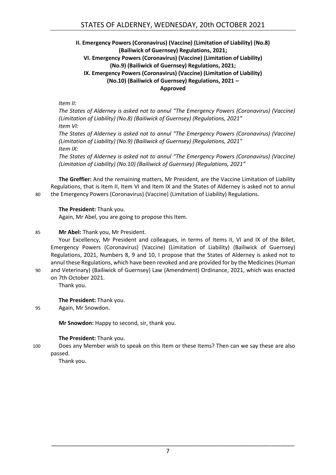### <span id="page-6-0"></span>**II. Emergency Powers (Coronavirus) (Vaccine) (Limitation of Liability) (No.8) (Bailiwick of Guernsey) Regulations, 2021; VI. Emergency Powers (Coronavirus) (Vaccine) (Limitation of Liability) (No.9) (Bailiwick of Guernsey) Regulations, 2021; IX. Emergency Powers (Coronavirus) (Vaccine) (Limitation of Liability) (No.10) (Bailiwick of Guernsey) Regulations, 2021 – Approved**

*Item II:*

*The States of Alderney is asked not to annul "The Emergency Powers (Coronavirus) (Vaccine) (Limitation of Liability) (No.8) (Bailiwick of Guernsey) (Regulations, 2021" Item VI:* 

*The States of Alderney is asked not to annul "The Emergency Powers (Coronavirus) (Vaccine) (Limitation of Liability) (No.9) (Bailiwick of Guernsey) (Regulations, 2021" Item IX:*

*The States of Alderney is asked not to annul "The Emergency Powers (Coronavirus) (Vaccine) (Limitation of Liability) (No.10) (Bailiwick of Guernsey) (Regulations, 2021"*

**The Greffier:** And the remaining matters, Mr President, are the Vaccine Limitation of Liability Regulations, that is Item II, Item VI and Item IX and the States of Alderney is asked not to annul 80 the Emergency Powers (Coronavirus) (Vaccine) (Limitation of Liability) Regulations.

# **The President:** Thank you.

Again, Mr Abel, you are going to propose this Item.

### 85 **Mr Abel:** Thank you, Mr President.

Your Excellency, Mr President and colleagues, in terms of Items II, VI and IX of the Billet, Emergency Powers (Coronavirus) (Vaccine) (Limitation of Liability) (Bailiwick of Guernsey) Regulations, 2021, Numbers 8, 9 and 10, I propose that the States of Alderney is asked not to annul these Regulations, which have been revoked and are provided for by the Medicines (Human

90 and Veterinary) (Bailiwick of Guernsey) Law (Amendment) Ordinance, 2021, which was enacted on 7th October 2021.

Thank you.

#### **The President:** Thank you.

95 Again, Mr Snowdon.

**Mr Snowdon:** Happy to second, sir, thank you.

#### **The President:** Thank you.

100 Does any Member wish to speak on this Item or these Items? Then can we say these are also passed.

Thank you.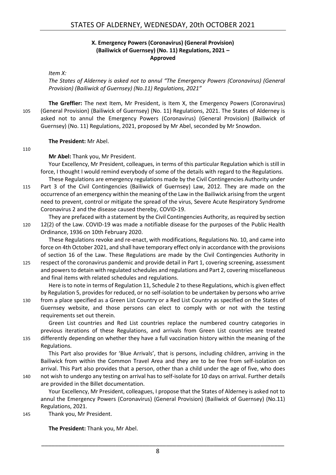### **X. Emergency Powers (Coronavirus) (General Provision) (Bailiwick of Guernsey) (No. 11) Regulations, 2021 – Approved**

#### <span id="page-7-0"></span>*Item X:*

*The States of Alderney is asked not to annul "The Emergency Powers (Coronavirus) (General Provision) (Bailiwick of Guernsey) (No.11) Regulations, 2021"*

**The Greffier:** The next Item, Mr President, is Item X, the Emergency Powers (Coronavirus) 105 (General Provision) (Bailiwick of Guernsey) (No. 11) Regulations, 2021. The States of Alderney is asked not to annul the Emergency Powers (Coronavirus) (General Provision) (Bailiwick of Guernsey) (No. 11) Regulations, 2021, proposed by Mr Abel, seconded by Mr Snowdon.

#### **The President:** Mr Abel.

#### 110

**Mr Abel:** Thank you, Mr President.

Your Excellency, Mr President, colleagues, in terms of this particular Regulation which is still in force, I thought I would remind everybody of some of the details with regard to the Regulations.

These Regulations are emergency regulations made by the Civil Contingencies Authority under 115 Part 3 of the Civil Contingencies (Bailiwick of Guernsey) Law, 2012. They are made on the occurrence of an emergency within the meaning of the Law in the Bailiwick arising from the urgent need to prevent, control or mitigate the spread of the virus, Severe Acute Respiratory Syndrome Coronavirus 2 and the disease caused thereby, COVID-19.

They are prefaced with a statement by the Civil Contingencies Authority, as required by section 120 12(2) of the Law. COVID-19 was made a notifiable disease for the purposes of the Public Health Ordinance, 1936 on 10th February 2020.

These Regulations revoke and re-enact, with modifications, Regulations No. 10, and came into force on 4th October 2021, and shall have temporary effect only in accordance with the provisions of section 16 of the Law. These Regulations are made by the Civil Contingencies Authority in

125 respect of the coronavirus pandemic and provide detail in Part 1, covering screening, assessment and powers to detain with regulated schedules and regulations and Part 2, covering miscellaneous and final items with related schedules and regulations.

Here is to note in terms of Regulation 11, Schedule 2 to these Regulations, which is given effect by Regulation 5, provides for reduced, or no self-isolation to be undertaken by persons who arrive

130 from a place specified as a Green List Country or a Red List Country as specified on the States of Guernsey website, and those persons can elect to comply with or not with the testing requirements set out therein.

Green List countries and Red List countries replace the numbered country categories in previous iterations of these Regulations, and arrivals from Green List countries are treated 135 differently depending on whether they have a full vaccination history within the meaning of the Regulations.

This Part also provides for 'Blue Arrivals', that is persons, including children, arriving in the Bailiwick from within the Common Travel Area and they are to be free from self-isolation on arrival. This Part also provides that a person, other than a child under the age of five, who does 140 not wish to undergo any testing on arrival has to self-isolate for 10 days on arrival. Further details are provided in the Billet documentation.

Your Excellency, Mr President, colleagues, I propose that the States of Alderney is asked not to annul the Emergency Powers (Coronavirus) (General Provision) (Bailiwick of Guernsey) (No.11) Regulations, 2021.

145 Thank you, Mr President.

**The President:** Thank you, Mr Abel.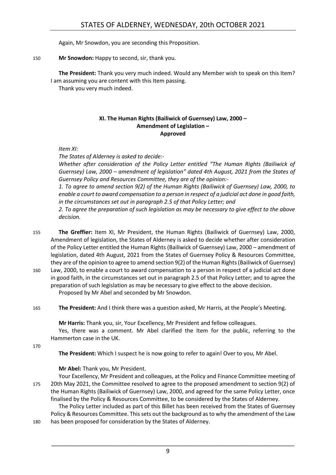Again, Mr Snowdon, you are seconding this Proposition.

150 **Mr Snowdon:** Happy to second, sir, thank you.

**The President:** Thank you very much indeed. Would any Member wish to speak on this Item? I am assuming you are content with this Item passing.

<span id="page-8-0"></span>Thank you very much indeed.

#### **XI. The Human Rights (Bailiwick of Guernsey) Law, 2000 – Amendment of Legislation – Approved**

*Item XI:*

*The States of Alderney is asked to decide:-*

*Whether after consideration of the Policy Letter entitled "The Human Rights (Bailiwick of Guernsey) Law, 2000 – amendment of legislation" dated 4th August, 2021 from the States of Guernsey Policy and Resources Committee, they are of the opinion:-*

*1. To agree to amend section 9(2) of the Human Rights (Bailiwick of Guernsey) Law, 2000, to enable a court to award compensation to a person in respect of a judicial act done in good faith, in the circumstances set out in paragraph 2.5 of that Policy Letter; and*

*2. To agree the preparation of such legislation as may be necessary to give effect to the above decision.*

155 **The Greffier:** Item XI, Mr President, the Human Rights (Bailiwick of Guernsey) Law, 2000, Amendment of legislation, the States of Alderney is asked to decide whether after consideration of the Policy Letter entitled the Human Rights (Bailiwick of Guernsey) Law, 2000 – amendment of legislation, dated 4th August, 2021 from the States of Guernsey Policy & Resources Committee, they are of the opinion to agree to amend section 9(2) of the Human Rights (Bailiwick of Guernsey)

- 160 Law, 2000, to enable a court to award compensation to a person in respect of a judicial act done in good faith, in the circumstances set out in paragraph 2.5 of that Policy Letter; and to agree the preparation of such legislation as may be necessary to give effect to the above decision. Proposed by Mr Abel and seconded by Mr Snowdon.
- 165 **The President:** And I think there was a question asked, Mr Harris, at the People's Meeting.

**Mr Harris:** Thank you, sir, Your Excellency, Mr President and fellow colleagues.

Yes, there was a comment. Mr Abel clarified the Item for the public, referring to the Hammerton case in the UK.

170

**The President:** Which I suspect he is now going to refer to again! Over to you, Mr Abel.

**Mr Abel:** Thank you, Mr President.

Your Excellency, Mr President and colleagues, at the Policy and Finance Committee meeting of 175 20th May 2021, the Committee resolved to agree to the proposed amendment to section 9(2) of the Human Rights (Bailiwick of Guernsey) Law, 2000, and agreed for the same Policy Letter, once finalised by the Policy & Resources Committee, to be considered by the States of Alderney.

The Policy Letter included as part of this Billet has been received from the States of Guernsey Policy & Resources Committee. This sets out the background as to why the amendment of the Law 180 has been proposed for consideration by the States of Alderney.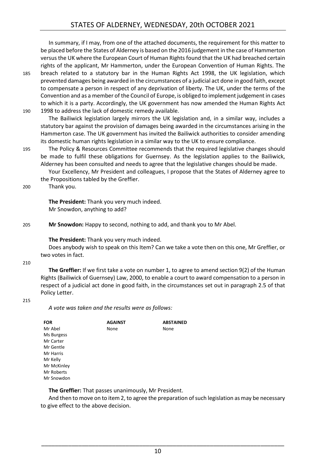In summary, if I may, from one of the attached documents, the requirement for this matter to be placed before the States of Alderney is based on the 2016 judgement in the case of Hammerton versus the UK where the European Court of Human Rights found that the UK had breached certain rights of the applicant, Mr Hammerton, under the European Convention of Human Rights. The

185 breach related to a statutory bar in the Human Rights Act 1998, the UK legislation, which prevented damages being awarded in the circumstances of a judicial act done in good faith, except to compensate a person in respect of any deprivation of liberty. The UK, under the terms of the Convention and as a member of the Council of Europe, is obliged to implement judgement in cases to which it is a party. Accordingly, the UK government has now amended the Human Rights Act 190 1998 to address the lack of domestic remedy available.

The Bailiwick legislation largely mirrors the UK legislation and, in a similar way, includes a statutory bar against the provision of damages being awarded in the circumstances arising in the Hammerton case. The UK government has invited the Bailiwick authorities to consider amending its domestic human rights legislation in a similar way to the UK to ensure compliance.

195 The Policy & Resources Committee recommends that the required legislative changes should be made to fulfil these obligations for Guernsey. As the legislation applies to the Bailiwick, Alderney has been consulted and needs to agree that the legislative changes should be made.

Your Excellency, Mr President and colleagues, I propose that the States of Alderney agree to the Propositions tabled by the Greffier.

200 Thank you.

**The President:** Thank you very much indeed. Mr Snowdon, anything to add?

205 **Mr Snowdon:** Happy to second, nothing to add, and thank you to Mr Abel.

**The President:** Thank you very much indeed.

Does anybody wish to speak on this Item? Can we take a vote then on this one, Mr Greffier, or two votes in fact.

210

**The Greffier:** If we first take a vote on number 1, to agree to amend section 9(2) of the Human Rights (Bailiwick of Guernsey) Law, 2000, to enable a court to award compensation to a person in respect of a judicial act done in good faith, in the circumstances set out in paragraph 2.5 of that Policy Letter.

#### 215

*A vote was taken and the results were as follows:*

| <b>FOR</b>  | <b>AGAINST</b> | <b>ABSTAINED</b> |
|-------------|----------------|------------------|
| Mr Abel     | None           | None             |
| Ms Burgess  |                |                  |
| Mr Carter   |                |                  |
| Mr Gentle   |                |                  |
| Mr Harris   |                |                  |
| Mr Kelly    |                |                  |
| Mr McKinley |                |                  |
| Mr Roberts  |                |                  |
| Mr Snowdon  |                |                  |

**The Greffier:** That passes unanimously, Mr President.

And then to move on to item 2, to agree the preparation of such legislation as may be necessary to give effect to the above decision.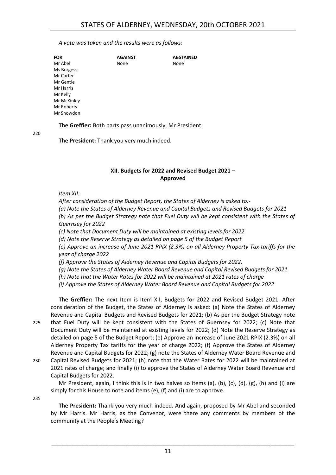*A vote was taken and the results were as follows:*

| <b>FOR</b>  | <b>AGAINST</b> | <b>ABSTAINED</b> |
|-------------|----------------|------------------|
| Mr Abel     | None           | None             |
| Ms Burgess  |                |                  |
| Mr Carter   |                |                  |
| Mr Gentle   |                |                  |
| Mr Harris   |                |                  |
| Mr Kelly    |                |                  |
| Mr McKinley |                |                  |
| Mr Roberts  |                |                  |
| Mr Snowdon  |                |                  |

**The Greffier:** Both parts pass unanimously, Mr President.

220

**The President:** Thank you very much indeed.

# **XII. Budgets for 2022 and Revised Budget 2021 – Approved**

<span id="page-10-0"></span>*Item XII:*

*After consideration of the Budget Report, the States of Alderney is asked to:-*

*(a) Note the States of Alderney Revenue and Capital Budgets and Revised Budgets for 2021*

*(b) As per the Budget Strategy note that Fuel Duty will be kept consistent with the States of Guernsey for 2022*

*(c) Note that Document Duty will be maintained at existing levels for 2022*

*(d) Note the Reserve Strategy as detailed on page 5 of the Budget Report*

*(e) Approve an increase of June 2021 RPIX (2.3%) on all Alderney Property Tax tariffs for the year of charge 2022*

*(f) Approve the States of Alderney Revenue and Capital Budgets for 2022.*

*(g) Note the States of Alderney Water Board Revenue and Capital Revised Budgets for 2021*

*(h) Note that the Water Rates for 2022 will be maintained at 2021 rates of charge*

*(i) Approve the States of Alderney Water Board Revenue and Capital Budgets for 2022*

**The Greffier:** The next Item is Item XII, Budgets for 2022 and Revised Budget 2021. After consideration of the Budget, the States of Alderney is asked: (a) Note the States of Alderney Revenue and Capital Budgets and Revised Budgets for 2021; (b) As per the Budget Strategy note 225 that Fuel Duty will be kept consistent with the States of Guernsey for 2022; (c) Note that Document Duty will be maintained at existing levels for 2022; (d) Note the Reserve Strategy as detailed on page 5 of the Budget Report; (e) Approve an increase of June 2021 RPIX (2.3%) on all Alderney Property Tax tariffs for the year of charge 2022; (f) Approve the States of Alderney Revenue and Capital Budgets for 2022; (g) note the States of Alderney Water Board Revenue and 230 Capital Revised Budgets for 2021; (h) note that the Water Rates for 2022 will be maintained at 2021 rates of charge; and finally (i) to approve the States of Alderney Water Board Revenue and Capital Budgets for 2022.

235

Mr President, again, I think this is in two halves so items (a), (b), (c), (d), (g), (h) and (i) are simply for this House to note and items (e), (f) and (i) are to approve.

**The President:** Thank you very much indeed. And again, proposed by Mr Abel and seconded by Mr Harris. Mr Harris, as the Convenor, were there any comments by members of the community at the People's Meeting?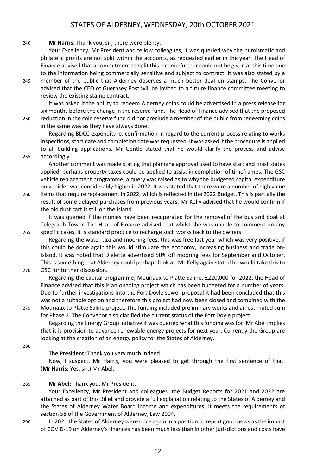#### 240 **Mr Harris:** Thank you, sir, there were plenty.

Your Excellency, Mr President and fellow colleagues, it was queried why the numismatic and philatelic profits are not split within the accounts, as requested earlier in the year. The Head of Finance advised that a commitment to split this income further could not be given at this time due to the information being commercially sensitive and subject to contract. It was also stated by a

245 member of the public that Alderney deserves a much better deal on stamps. The Convenor advised that the CEO of Guernsey Post will be invited to a future finance committee meeting to review the existing stamp contract.

It was asked if the ability to redeem Alderney coins could be advertised in a press release for six months before the change in the reserve fund. The Head of Finance advised that the proposed 250 reduction in the coin reserve fund did not preclude a member of the public from redeeming coins in the same way as they have always done.

Regarding BDCC expenditure, confirmation in regard to the current process relating to works inspections, start date and completion date was requested. It was asked if the procedure is applied to all building applications. Mr Gentle stated that he would clarify the process and advise 255 accordingly.

Another comment was made stating that planning approval used to have start and finish dates applied, perhaps property taxes could be applied to assist in completion of timeframes. The GSC vehicle replacement programme, a query was raised as to why the budgeted capital expenditure on vehicles was considerably higher in 2022. It was stated that there were a number of high value 260 items that require replacement in 2022, which is reflected in the 2022 Budget. This is partially the

result of some delayed purchases from previous years. Mr Kelly advised that he would confirm if the old dust cart is still on the Island.

It was queried if the monies have been recuperated for the removal of the bus and boat at Telegraph Tower. The Head of Finance advised that whilst she was unable to comment on any 265 specific cases, it is standard practice to recharge such works back to the owners.

Regarding the water taxi and mooring fees, this was free last year which was very positive, if this could be done again this would stimulate the economy, increasing business and trade on-Island. It was noted that Dielette advertised 50% off mooring fees for September and October. This is something that Alderney could perhaps look at. Mr Kelly again stated he would take this to 270 GSC for further discussion.

Regarding the capital programme, Mouriaux to Platte Saline, £220,000 for 2022, the Head of Finance advised that this is an ongoing project which has been budgeted for a number of years. Due to further investigations into the Fort Doyle sewer proposal it had been concluded that this was not a suitable option and therefore this project had now been closed and combined with the 275 Mouriaux to Platte Saline project. The funding included preliminary works and an estimated sum

for Phase 2. The Convenor also clarified the current status of the Fort Doyle project. Regarding the Energy Group initiative it was queried what this funding was for. Mr Abel implies

that it is provision to advance renewable energy projects for next year. Currently the Group are looking at the creation of an energy policy for the States of Alderney.

280

#### **The President:** Thank you very much indeed.

Now, I suspect, Mr Harris, you were pleased to get through the first sentence of that. (**Mr Harris:** Yes, sir.) Mr Abel.

285 **Mr Abel:** Thank you, Mr President.

Your Excellency, Mr President and colleagues, the Budget Reports for 2021 and 2022 are attached as part of this Billet and provide a full explanation relating to the States of Alderney and the States of Alderney Water Board income and expenditures, it meets the requirements of section 58 of the Government of Alderney, Law 2004.

290 In 2021 the States of Alderney were once again in a position to report good news as the impact of COVID-19 on Alderney's finances has been much less than in other jurisdictions and costs have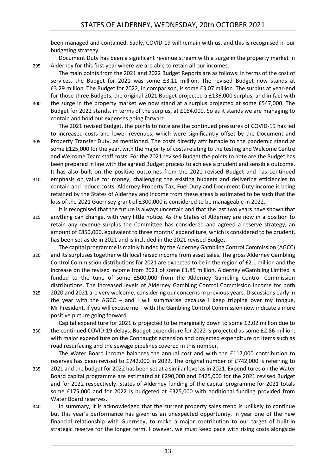been managed and contained. Sadly, COVID-19 will remain with us, and this is recognised in our budgeting strategy.

Document Duty has been a significant revenue stream with a surge in the property market in 295 Alderney for this first year where we are able to retain all our incomes.

The main points from the 2021 and 2022 Budget Reports are as follows: in terms of the cost of services, the Budget for 2021 was some £3.11 million. The revised Budget now stands at £3.29 million. The Budget for 2022, in comparison, is some £3.07 million. The surplus at year-end for those three Budgets, the original 2021 Budget projected a £136,000 surplus, and in fact with 300 the surge in the property market we now stand at a surplus projected at some £547,000. The Budget for 2022 stands, in terms of the surplus, at £164,000. So as it stands we are managing to contain and hold our expenses going forward.

The 2021 revised Budget, the points to note are the continued pressures of COVID-19 has led to increased costs and lower revenues, which were significantly offset by the Document and 305 Property Transfer Duty, as mentioned. The costs directly attributable to the pandemic stand at some £125,000 for the year, with the majority of costs relating to the testing and Welcome Centre and Welcome Team staff costs. For the 2021 revised Budget the points to note are the Budget has been prepared in line with the agreed Budget process to achieve a prudent and sensible outcome. It has also built on the positive outcomes from the 2021 revised Budget and has continued

- 310 emphasis on value for money, challenging the existing budgets and delivering efficiencies to contain and reduce costs. Alderney Property Tax, Fuel Duty and Document Duty income is being retained by the States of Alderney and income from these areas is estimated to be such that the loss of the 2021 Guernsey grant of £300,000 is considered to be manageable in 2022.
- It is recognised that the future is always uncertain and that the last two years have shown that 315 anything can change, with very little notice. As the States of Alderney are now in a position to retain any revenue surplus the Committee has considered and agreed a reserve strategy, an amount of £850,000, equivalent to three months' expenditure, which is considered to be prudent, has been set aside in 2021 and is included in the 2021 revised Budget.
- The capital programme is mainly funded by the Alderney Gambling Control Commission (AGCC) 320 and its surpluses together with local raised income from asset sales. The gross Alderney Gambling Control Commission distributions for 2021 are expected to be in the region of £2.1 million and the increase on the revised income from 2021 of some £1.85 million. Alderney eGambling Limited is funded to the tune of some £500,000 from the Alderney Gambling Control Commission distributions. The increased levels of Alderney Gambling Control Commission income for both
- 325 2020 and 2021 are very welcome, considering our concerns in previous years. Discussions early in the year with the AGCC – and I will summarise because I keep tripping over my tongue, Mr President, if you will excuse me – with the Gambling Control Commission now indicate a more positive picture going forward.

Capital expenditure for 2021 is projected to be marginally down to some £2.02 million due to 330 the continued COVID-19 delays. Budget expenditure for 2022 is projected as some £2.86 million, with major expenditure on the Connaught extension and projected expenditure on items such as road resurfacing and the sewage pipelines covered in this number.

The Water Board income balances the annual cost and with the £117,000 contribution to reserves has been revised to £742,000 in 2022. The original number of £742,000 is referring to

- 335 2021 and the budget for 2022 has been set at a similar level as in 2021. Expenditures on the Water Board capital programme are estimated at £290,000 and £425,000 for the 2021 revised Budget and for 2022 respectively. States of Alderney funding of the capital programme for 2021 totals some £175,000 and for 2022 is budgeted at £325,000 with additional funding provided from Water Board reserves.
- 340 In summary, it is acknowledged that the current property sales trend is unlikely to continue but this year's performance has given us an unexpected opportunity, in year one of the new financial relationship with Guernsey, to make a major contribution to our target of built-in strategic reserve for the longer term. However, we must keep pace with rising costs alongside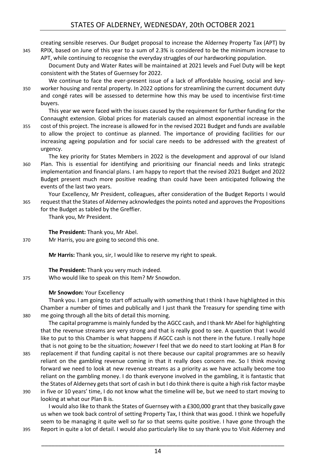creating sensible reserves. Our Budget proposal to increase the Alderney Property Tax (APT) by 345 RPIX, based on June of this year to a sum of 2.3% is considered to be the minimum increase to

APT, while continuing to recognise the everyday struggles of our hardworking population. Document Duty and Water Rates will be maintained at 2021 levels and Fuel Duty will be kept consistent with the States of Guernsey for 2022.

We continue to face the ever-present issue of a lack of affordable housing, social and key-350 worker housing and rental property. In 2022 options for streamlining the current document duty and congé rates will be assessed to determine how this may be used to incentivise first-time buyers.

This year we were faced with the issues caused by the requirement for further funding for the Connaught extension. Global prices for materials caused an almost exponential increase in the 355 cost of this project. The increase is allowed for in the revised 2021 Budget and funds are available

to allow the project to continue as planned. The importance of providing facilities for our increasing ageing population and for social care needs to be addressed with the greatest of urgency.

The key priority for States Members in 2022 is the development and approval of our Island 360 Plan. This is essential for identifying and prioritising our financial needs and links strategic implementation and financial plans. I am happy to report that the revised 2021 Budget and 2022 Budget present much more positive reading than could have been anticipated following the events of the last two years.

Your Excellency, Mr President, colleagues, after consideration of the Budget Reports I would 365 request that the States of Alderney acknowledges the points noted and approves the Propositions for the Budget as tabled by the Greffier.

Thank you, Mr President.

**The President:** Thank you, Mr Abel.

370 Mr Harris, you are going to second this one.

**Mr Harris:** Thank you, sir, I would like to reserve my right to speak.

**The President:** Thank you very much indeed. 375 Who would like to speak on this Item? Mr Snowdon.

#### **Mr Snowdon:** Your Excellency

Thank you. I am going to start off actually with something that I think I have highlighted in this Chamber a number of times and publically and I just thank the Treasury for spending time with 380 me going through all the bits of detail this morning.

The capital programme is mainly funded by the AGCC cash, and I thank Mr Abel for highlighting that the revenue streams are very strong and that is really good to see. A question that I would like to put to this Chamber is what happens if AGCC cash is not there in the future. I really hope that is not going to be the situation; *however* I feel that we do need to start looking at Plan B for

- 385 replacement if that funding capital is not there because our capital programmes are so heavily reliant on the gambling revenue coming in that it really does concern me. So I think moving forward we need to look at new revenue streams as a priority as we have actually become too reliant on the gambling money. I do thank everyone involved in the gambling, it is fantastic that the States of Alderney gets that sort of cash in but I do think there is quite a high risk factor maybe
- 390 in five or 10 years' time, I do not know what the timeline will be, but we need to start moving to looking at what our Plan B is.

I would also like to thank the States of Guernsey with a £300,000 grant that they basically gave us when we took back control of setting Property Tax, I think that was good. I think we hopefully seem to be managing it quite well so far so that seems quite positive. I have gone through the 395 Report in quite a lot of detail. I would also particularly like to say thank you to Visit Alderney and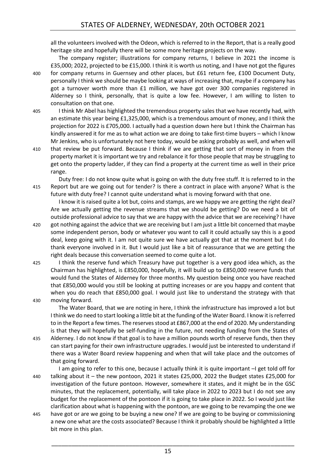all the volunteers involved with the Odeon, which is referred to in the Report, that is a really good heritage site and hopefully there will be some more heritage projects on the way.

The company register; illustrations for company returns, I believe in 2021 the income is £35,000; 2022, projected to be £15,000. I think it is worth us noting, and I have not got the figures 400 for company returns in Guernsey and other places, but £61 return fee, £100 Document Duty, personally I think we should be maybe looking at ways of increasing that, maybe if a company has got a turnover worth more than £1 million, we have got over 300 companies registered in Alderney so I think, personally, that is quite a low fee. However, I am willing to listen to consultation on that one.

405 I think Mr Abel has highlighted the tremendous property sales that we have recently had, with an estimate this year being £1,325,000, which is a tremendous amount of money, and I think the projection for 2022 is £705,000. I actually had a question down here but I think the Chairman has kindly answered it for me as to what action we are doing to take first-time buyers – which I know Mr Jenkins, who is unfortunately not here today, would be asking probably as well, and when will

410 that review be put forward. Because I think if we are getting that sort of money in from the property market it is important we try and rebalance it for those people that may be struggling to get onto the property ladder, if they can find a property at the current time as well in their price range.

Duty free: I do not know quite what is going on with the duty free stuff. It is referred to in the 415 Report but are we going out for tender? Is there a contract in place with anyone? What is the future with duty free? I cannot quite understand what is moving forward with that one.

I know it is raised quite a lot but, coins and stamps, are we happy we are getting the right deal? Are we actually getting the revenue streams that we should be getting? Do we need a bit of outside professional advice to say that we are happy with the advice that we are receiving? I have

- 420 got nothing against the advice that we are receiving but I am just a little bit concerned that maybe some independent person, body or whatever you want to call it could actually say this is a good deal, keep going with it. I am not quite sure we have actually got that at the moment but I do thank everyone involved in it. But I would just like a bit of reassurance that we are getting the right deals because this conversation seemed to come quite a lot.
- 425 I think the reserve fund which Treasury have put together is a very good idea which, as the Chairman has highlighted, is £850,000, hopefully, it will build up to £850,000 reserve funds that would fund the States of Alderney for three months. My question being once you have reached that £850,000 would you still be looking at putting increases or are you happy and content that when you do reach that £850,000 goal. I would just like to understand the strategy with that 430 moving forward.

The Water Board, that we are noting in here, I think the infrastructure has improved a lot but I think we do need to start looking a little bit at the funding of the Water Board. I know it is referred to in the Report a few times. The reserves stood at £867,000 at the end of 2020. My understanding is that they will hopefully be self-funding in the future, not needing funding from the States of 435 Alderney. I do not know if that goal is to have a million pounds worth of reserve funds, then they

- can start paying for their own infrastructure upgrades. I would just be interested to understand if there was a Water Board review happening and when that will take place and the outcomes of that going forward.
- I am going to refer to this one, because I actually think it is quite important –I get told off for 440 talking about it – the new pontoon, 2021 it states £25,000, 2022 the Budget states £25,000 for investigation of the future pontoon. However, somewhere it states, and it might be in the GSC minutes, that the replacement, potentially, will take place in 2022 to 2023 but I do not see any budget for the replacement of the pontoon if it is going to take place in 2022. So I would just like clarification about what is happening with the pontoon, are we going to be revamping the one we
- 445 have got or are we going to be buying a new one? If we are going to be buying or commissioning a new one what are the costs associated? Because I think it probably should be highlighted a little bit more in this plan.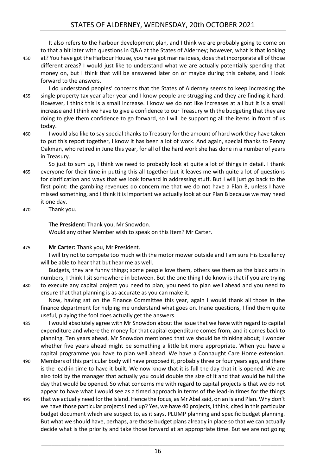It also refers to the harbour development plan, and I think we are probably going to come on to that a bit later with questions in Q&A at the States of Alderney; however, what is that looking 450 at? You have got the Harbour House, you have got marina ideas, does that incorporate all of those different areas? I would just like to understand what we are actually potentially spending that money on, but I think that will be answered later on or maybe during this debate, and I look forward to the answers.

I do understand peoples' concerns that the States of Alderney seems to keep increasing the 455 single property tax year after year and I know people are struggling and they are finding it hard. However, I think this is a small increase. I know we do not like increases at all but it is a small increase and I think we have to give a confidence to our Treasury with the budgeting that they are doing to give them confidence to go forward, so I will be supporting all the items in front of us today.

460 I would also like to say special thanks to Treasury for the amount of hard work they have taken to put this report together, I know it has been a lot of work. And again, special thanks to Penny Oakman, who retired in June this year, for all of the hard work she has done in a number of years in Treasury.

So just to sum up, I think we need to probably look at quite a lot of things in detail. I thank 465 everyone for their time in putting this all together but it leaves me with quite a lot of questions for clarification and ways that we look forward in addressing stuff. But I will just go back to the first point: the gambling revenues do concern me that we do not have a Plan B, unless I have missed something, and I think it is important we actually look at our Plan B because we may need it one day.

470 Thank you.

**The President:** Thank you, Mr Snowdon. Would any other Member wish to speak on this Item? Mr Carter.

475 **Mr Carter:** Thank you, Mr President.

I will try not to compete too much with the motor mower outside and I am sure His Excellency will be able to hear that but hear me as well.

Budgets, they are funny things; some people love them, others see them as the black arts in numbers; I think I sit somewhere in between. But the one thing I do know is that if you are trying 480 to execute any capital project you need to plan, you need to plan well ahead and you need to ensure that that planning is as accurate as you can make it.

Now, having sat on the Finance Committee this year, again I would thank all those in the finance department for helping me understand what goes on. Inane questions, I find them quite useful, playing the fool does actually get the answers.

485 I would absolutely agree with Mr Snowdon about the issue that we have with regard to capital expenditure and where the money for that capital expenditure comes from, and it comes back to planning. Ten years ahead, Mr Snowdon mentioned that we should be thinking about; I wonder whether five years ahead might be something a little bit more appropriate. When you have a capital programme you have to plan well ahead. We have a Connaught Care Home extension.

- 490 Members of this particular body will have proposed it, probably three or four years ago, and there is the lead-in time to have it built. We now know that it is full the day that it is opened. We are also told by the manager that actually you could double the size of it and that would be full the day that would be opened. So what concerns me with regard to capital projects is that we do not appear to have what I would see as a timed approach in terms of the lead-in times for the things
- 495 that we actually need for the Island. Hence the focus, as Mr Abel said, on an Island Plan. Why don't we have those particular projects lined up? Yes, we have 40 projects, I think, cited in this particular budget document which are subject to, as it says, PLUMP planning and specific budget planning. But what we should have, perhaps, are those budget plans already in place so that we can actually decide what is the priority and take those forward at an appropriate time. But we are not going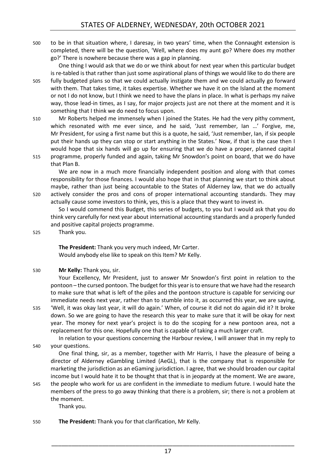500 to be in that situation where, I daresay, in two years' time, when the Connaught extension is completed, there will be the question, 'Well, where does my aunt go? Where does my mother go?' There is nowhere because there was a gap in planning.

One thing I would ask that we do or we think about for next year when this particular budget is re-tabled is that rather than just some aspirational plans of things we would like to do there are 505 fully budgeted plans so that we could actually instigate them and we could actually go forward with them. That takes time, it takes expertise. Whether we have it on the Island at the moment or not I do not know, but I think we need to have the plans in place. In what is perhaps my naïve way, those lead-in times, as I say, for major projects just are not there at the moment and it is something that I think we do need to focus upon.

510 Mr Roberts helped me immensely when I joined the States. He had the very pithy comment, which resonated with me ever since, and he said, 'Just remember, Ian …' Forgive, me, Mr President, for using a first name but this is a quote, he said, 'Just remember, Ian, if six people put their hands up they can stop or start anything in the States.' Now, if that is the case then I would hope that six hands will go up for ensuring that we do have a proper, planned capital 515 programme, properly funded and again, taking Mr Snowdon's point on board, that we do have that Plan B.

We are now in a much more financially independent position and along with that comes responsibility for those finances. I would also hope that in that planning we start to think about maybe, rather than just being accountable to the States of Alderney law, that we do actually 520 actively consider the pros and cons of proper international accounting standards. They may actually cause some investors to think, yes, this is a place that they want to invest in.

So I would commend this Budget, this series of budgets, to you but I would ask that you do think very carefully for next year about international accounting standards and a properly funded and positive capital projects programme.

525 Thank you.

**The President:** Thank you very much indeed, Mr Carter. Would anybody else like to speak on this Item? Mr Kelly.

530 **Mr Kelly:** Thank you, sir.

Your Excellency, Mr President, just to answer Mr Snowdon's first point in relation to the pontoon – the cursed pontoon. The budget for this year is to ensure that we have had the research to make sure that what is left of the piles and the pontoon structure is capable for servicing our immediate needs next year, rather than to stumble into it, as occurred this year, we are saying,

535 'Well, it was okay last year, it will do again.' When, of course it did not do again did it? It broke down. So we are going to have the research this year to make sure that it will be okay for next year. The money for next year's project is to do the scoping for a new pontoon area, not a replacement for this one. Hopefully one that is capable of taking a much larger craft.

In relation to your questions concerning the Harbour review, I will answer that in my reply to 540 your questions.

One final thing, sir, as a member, together with Mr Harris, I have the pleasure of being a director of Alderney eGambling Limited (AeGL), that is the company that is responsible for marketing the jurisdiction as an eGaming jurisdiction. I agree, that we should broaden our capital income but I would hate it to be thought that that is in jeopardy at the moment. We are aware,

545 the people who work for us are confident in the immediate to medium future. I would hate the members of the press to go away thinking that there is a problem, sir; there is not a problem at the moment.

Thank you.

# 550 **The President:** Thank you for that clarification, Mr Kelly.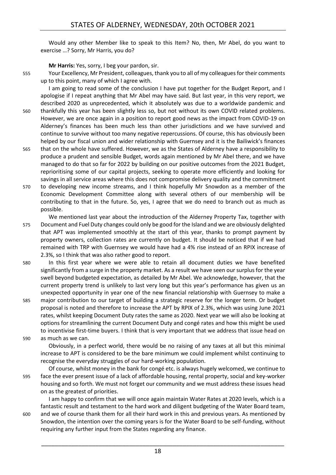Would any other Member like to speak to this Item? No, then, Mr Abel, do you want to exercise …? Sorry, Mr Harris, you do?

**Mr Harris:** Yes, sorry, I beg your pardon, sir.

555 Your Excellency, Mr President, colleagues, thank you to all of my colleagues for their comments up to this point, many of which I agree with.

I am going to read some of the conclusion I have put together for the Budget Report, and I apologise if I repeat anything that Mr Abel may have said. But last year, in this very report, we described 2020 as unprecedented, which it absolutely was due to a worldwide pandemic and 560 thankfully this year has been slightly less so, but not without its own COVID related problems. However, we are once again in a position to report good news as the impact from COVID-19 on Alderney's finances has been much less than other jurisdictions and we have survived and continue to survive without too many negative repercussions. Of course, this has obviously been helped by our fiscal union and wider relationship with Guernsey and it is the Bailiwick's finances

- 565 that on the whole have suffered. However, we as the States of Alderney have a responsibility to produce a prudent and sensible Budget, words again mentioned by Mr Abel there, and we have managed to do that so far for 2022 by building on our positive outcomes from the 2021 Budget, reprioritising some of our capital projects, seeking to operate more efficiently and looking for savings in all service areas where this does not compromise delivery quality and the commitment
- 570 to developing new income streams, and I think hopefully Mr Snowdon as a member of the Economic Development Committee along with several others of our membership will be contributing to that in the future. So, yes, I agree that we do need to branch out as much as possible.
- We mentioned last year about the introduction of the Alderney Property Tax, together with 575 Document and Fuel Duty changes could only be good for the Island and we are obviously delighted that APT was implemented smoothly at the start of this year, thanks to prompt payment by property owners, collection rates are currently on budget. It should be noticed that if we had remained with TRP with Guernsey we would have had a 4% rise instead of an RPIX increase of 2.3%, so I think that was also rather good to report.
- 580 In this first year where we were able to retain all document duties we have benefited significantly from a surge in the property market. As a result we have seen our surplus for the year swell beyond budgeted expectation, as detailed by Mr Abel. We acknowledge, however, that the current property trend is unlikely to last very long but this year's performance has given us an unexpected opportunity in year one of the new financial relationship with Guernsey to make a
- 585 major contribution to our target of building a strategic reserve for the longer term. Or budget proposal is noted and therefore to increase the APT by RPIX of 2.3%, which was using June 2021 rates, whilst keeping Document Duty rates the same as 2020. Next year we will also be looking at options for streamlining the current Document Duty and congé rates and how this might be used to incentivise first-time buyers. I think that is very important that we address that issue head on
- 590 as much as we can.

Obviously, in a perfect world, there would be no raising of any taxes at all but this minimal increase to APT is considered to be the bare minimum we could implement whilst continuing to recognise the everyday struggles of our hard-working population.

Of course, whilst money in the bank for congé etc. is always hugely welcomed, we continue to 595 face the ever present issue of a lack of affordable housing, rental property, social and key-worker housing and so forth. We must not forget our community and we must address these issues head on as the greatest of priorities.

I am happy to confirm that we will once again maintain Water Rates at 2020 levels, which is a fantastic result and testament to the hard work and diligent budgeting of the Water Board team, 600 and we of course thank them for all their hard work in this and previous years. As mentioned by Snowdon, the intention over the coming years is for the Water Board to be self-funding, without requiring any further input from the States regarding any finance.

18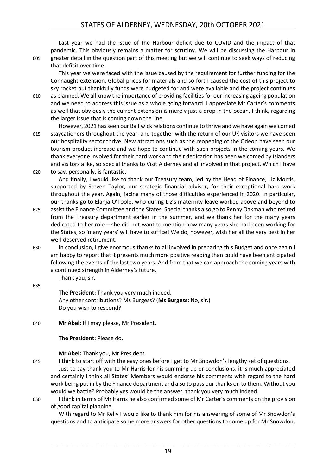Last year we had the issue of the Harbour deficit due to COVID and the impact of that pandemic. This obviously remains a matter for scrutiny. We will be discussing the Harbour in 605 greater detail in the question part of this meeting but we will continue to seek ways of reducing that deficit over time.

This year we were faced with the issue caused by the requirement for further funding for the Connaught extension. Global prices for materials and so forth caused the cost of this project to sky rocket but thankfully funds were budgeted for and were available and the project continues

610 as planned. We all know the importance of providing facilities for our increasing ageing population and we need to address this issue as a whole going forward. I appreciate Mr Carter's comments as well that obviously the current extension is merely just a drop in the ocean, I think, regarding the larger issue that is coming down the line.

However, 2021 has seen our Bailiwick relations continue to thrive and we have again welcomed 615 staycationers throughout the year, and together with the return of our UK visitors we have seen our hospitality sector thrive. New attractions such as the reopening of the Odeon have seen our tourism product increase and we hope to continue with such projects in the coming years. We thank everyone involved for their hard work and their dedication has been welcomed by Islanders and visitors alike, so special thanks to Visit Alderney and all involved in that project. Which I have 620 to say, personally, is fantastic.

And finally, I would like to thank our Treasury team, led by the Head of Finance, Liz Morris, supported by Steven Taylor, our strategic financial advisor, for their exceptional hard work throughout the year. Again, facing many of those difficulties experienced in 2020. In particular, our thanks go to Elanja O'Toole, who during Liz's maternity leave worked above and beyond to

- 625 assist the Finance Committee and the States. Special thanks also go to Penny Oakman who retired from the Treasury department earlier in the summer, and we thank her for the many years dedicated to her role – she did not want to mention how many years she had been working for the States, so 'many years' will have to suffice! We do, however, wish her all the very best in her well-deserved retirement.
- 630 In conclusion, I give enormous thanks to all involved in preparing this Budget and once again I am happy to report that it presents much more positive reading than could have been anticipated following the events of the last two years. And from that we can approach the coming years with a continued strength in Alderney's future.

Thank you, sir.

635

**The President:** Thank you very much indeed. Any other contributions? Ms Burgess? (**Ms Burgess:** No, sir.) Do you wish to respond?

640 **Mr Abel:** If I may please, Mr President.

**The President:** Please do.

**Mr Abel:** Thank you, Mr President.

645 I think to start off with the easy ones before I get to Mr Snowdon's lengthy set of questions. Just to say thank you to Mr Harris for his summing up or conclusions, it is much appreciated and certainly I think all States' Members would endorse his comments with regard to the hard work being put in by the Finance department and also to pass our thanks on to them. Without you would we battle? Probably yes would be the answer, thank you very much indeed.

650 I think in terms of Mr Harris he also confirmed some of Mr Carter's comments on the provision of good capital planning.

With regard to Mr Kelly I would like to thank him for his answering of some of Mr Snowdon's questions and to anticipate some more answers for other questions to come up for Mr Snowdon.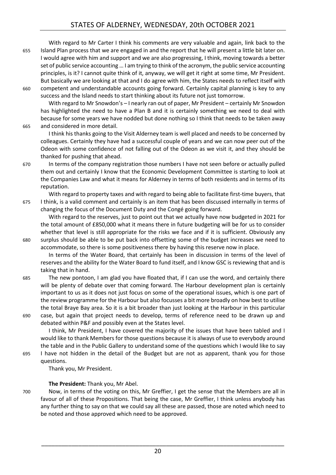With regard to Mr Carter I think his comments are very valuable and again, link back to the 655 Island Plan process that we are engaged in and the report that he will present a little bit later on. I would agree with him and support and we are also progressing, I think, moving towards a better set of public service accounting … I am trying to think of the acronym, the public service accounting principles, is it? I cannot quite think of it, anyway, we will get it right at some time, Mr President. But basically we are looking at that and I do agree with him, the States needs to reflect itself with 660 competent and understandable accounts going forward. Certainly capital planning is key to any success and the Island needs to start thinking about its future not just tomorrow.

With regard to Mr Snowdon's – I nearly ran out of paper, Mr President – certainly Mr Snowdon has highlighted the need to have a Plan B and it is certainly something we need to deal with because for some years we have nodded but done nothing so I think that needs to be taken away 665 and considered in more detail.

I think his thanks going to the Visit Alderney team is well placed and needs to be concerned by colleagues. Certainly they have had a successful couple of years and we can now peer out of the Odeon with some confidence of not falling out of the Odeon as we visit it, and they should be thanked for pushing that ahead.

670 In terms of the company registration those numbers I have not seen before or actually pulled them out and certainly I know that the Economic Development Committee is starting to look at the Companies Law and what it means for Alderney in terms of both residents and in terms of its reputation.

With regard to property taxes and with regard to being able to facilitate first-time buyers, that 675 I think, is a valid comment and certainly is an item that has been discussed internally in terms of changing the focus of the Document Duty and the Congé going forward.

With regard to the reserves, just to point out that we actually have now budgeted in 2021 for the total amount of £850,000 what it means there in future budgeting will be for us to consider whether that level is still appropriate for the risks we face and if it is sufficient. Obviously any 680 surplus should be able to be put back into offsetting some of the budget increases we need to accommodate, so there is some positiveness there by having this reserve now in place.

In terms of the Water Board, that certainly has been in discussion in terms of the level of reserves and the ability for the Water Board to fund itself, and I know GSC is reviewing that and is taking that in hand.

- 685 The new pontoon, I am glad you have floated that, if I can use the word, and certainly there will be plenty of debate over that coming forward. The Harbour development plan is certainly important to us as it does not just focus on some of the operational issues, which is one part of the review programme for the Harbour but also focusses a bit more broadly on how best to utilise the total Braye Bay area. So it is a bit broader than just looking at the Harbour in this particular
- 690 case, but again that project needs to develop, terms of reference need to be drawn up and debated within P&F and possibly even at the States level.

I think, Mr President, I have covered the majority of the issues that have been tabled and I would like to thank Members for those questions because it is always of use to everybody around the table and in the Public Gallery to understand some of the questions which I would like to say 695 I have not hidden in the detail of the Budget but are not as apparent, thank you for those

# questions.

Thank you, Mr President.

# **The President:** Thank you, Mr Abel.

700 Now, in terms of the voting on this, Mr Greffier, I get the sense that the Members are all in favour of all of these Propositions. That being the case, Mr Greffier, I think unless anybody has any further thing to say on that we could say all these are passed, those are noted which need to be noted and those approved which need to be approved.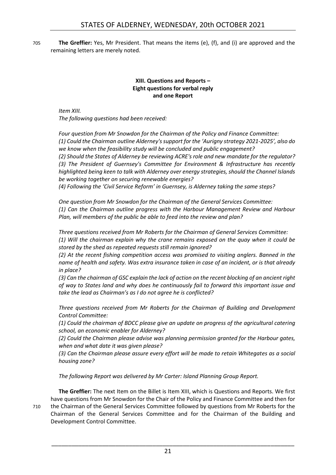705 **The Greffier:** Yes, Mr President. That means the items (e), (f), and (i) are approved and the remaining letters are merely noted.

### **XIII. Questions and Reports – Eight questions for verbal reply and one Report**

<span id="page-20-0"></span>*Item XIII. The following questions had been received:*

*Four question from Mr Snowdon for the Chairman of the Policy and Finance Committee: (1) Could the Chairman outline Alderney's support for the 'Aurigny strategy 2021-2025', also do we know when the feasibility study will be concluded and public engagement? (2) Should the States of Alderney be reviewing ACRE's role and new mandate for the regulator? (3) The President of Guernsey's Committee for Environment & Infrastructure has recently highlighted being keen to talk with Alderney over energy strategies, should the Channel Islands be working together on securing renewable energies?*

*(4) Following the 'Civil Service Reform' in Guernsey, is Alderney taking the same steps?*

*One question from Mr Snowdon for the Chairman of the General Services Committee: (1) Can the Chairman outline progress with the Harbour Management Review and Harbour Plan, will members of the public be able to feed into the review and plan?*

*Three questions received from Mr Roberts for the Chairman of General Services Committee: (1) Will the chairman explain why the crane remains exposed on the quay when it could be stored by the shed as repeated requests still remain ignored?*

*(2) At the recent fishing competition access was promised to visiting anglers. Banned in the name of health and safety. Was extra insurance taken in case of an incident, or is that already in place?*

*(3) Can the chairman of GSC explain the lack of action on the recent blocking of an ancient right of way to States land and why does he continuously fail to forward this important issue and take the lead as Chairman's as I do not agree he is conflicted?*

*Three questions received from Mr Roberts for the Chairman of Building and Development Control Committee:*

*(1) Could the chairman of BDCC please give an update on progress of the agricultural catering school, an economic enabler for Alderney?*

*(2) Could the Chairman please advise was planning permission granted for the Harbour gates, when and what date it was given please?*

*(3) Can the Chairman please assure every effort will be made to retain Whitegates as a social housing zone?*

*The following Report was delivered by Mr Carter: Island Planning Group Report.*

**The Greffier:** The next Item on the Billet is Item XIII, which is Questions and Reports. We first have questions from Mr Snowdon for the Chair of the Policy and Finance Committee and then for 710 the Chairman of the General Services Committee followed by questions from Mr Roberts for the Chairman of the General Services Committee and for the Chairman of the Building and Development Control Committee.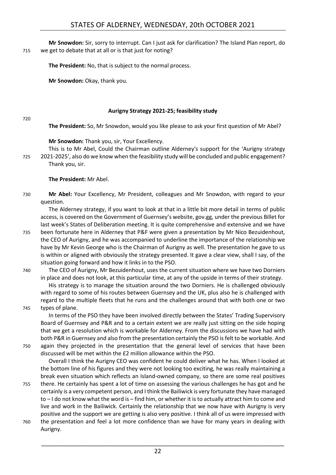**Mr Snowdon:** Sir, sorry to interrupt. Can I just ask for clarification? The Island Plan report, do 715 we get to debate that at all or is that just for noting?

**The President:** No, that is subject to the normal process.

**Mr Snowdon:** Okay, thank you.

#### **Aurigny Strategy 2021-25; feasibility study**

720

<span id="page-21-0"></span>**The President:** So, Mr Snowdon, would you like please to ask your first question of Mr Abel?

**Mr Snowdon:** Thank you, sir, Your Excellency.

This is to Mr Abel, Could the Chairman outline Alderney's support for the 'Aurigny strategy 725 2021-2025', also do we know when the feasibility study will be concluded and public engagement? Thank you, sir.

#### **The President:** Mr Abel.

730 **Mr Abel:** Your Excellency, Mr President, colleagues and Mr Snowdon, with regard to your question.

The Alderney strategy, if you want to look at that in a little bit more detail in terms of public access, is covered on the Government of Guernsey's website, gov.gg, under the previous Billet for last week's States of Deliberation meeting. It is quite comprehensive and extensive and we have

- 735 been fortunate here in Alderney that P&F were given a presentation by Mr Nico Bezuidenhout, the CEO of Aurigny, and he was accompanied to underline the importance of the relationship we have by Mr Kevin George who is the Chairman of Aurigny as well. The presentation he gave to us is within or aligned with obviously the strategy presented. It gave a clear view, shall I say, of the situation going forward and how it links in to the PSO.
- 740 The CEO of Aurigny, Mr Bezuidenhout, uses the current situation where we have two Dorniers in place and does not look, at this particular time, at any of the upside in terms of their strategy. His strategy is to manage the situation around the two Dorniers. He is challenged obviously with regard to some of his routes between Guernsey and the UK, plus also he is challenged with regard to the multiple fleets that he runs and the challenges around that with both one or two
- 745 types of plane.

In terms of the PSO they have been involved directly between the States' Trading Supervisory Board of Guernsey and P&R and to a certain extent we are really just sitting on the side hoping that we get a resolution which is workable for Alderney. From the discussions we have had with both P&R in Guernsey and also from the presentation certainly the PSO is felt to be workable. And

750 again they projected in the presentation that the general level of services that have been discussed will be met within the £2 million allowance within the PSO.

Overall I think the Aurigny CEO was confident he could deliver what he has. When I looked at the bottom line of his figures and they were not looking too exciting, he was really maintaining a break even situation which reflects an Island-owned company, so there are some real positives

- 755 there. He certainly has spent a lot of time on assessing the various challenges he has got and he certainly is a very competent person, and I think the Bailiwick is very fortunate they have managed to – I do not know what the word is – find him, or whether it is to actually attract him to come and live and work in the Bailiwick. Certainly the relationship that we now have with Aurigny is very positive and the support we are getting is also very positive. I think all of us were impressed with
- 760 the presentation and feel a lot more confidence than we have for many years in dealing with Aurigny.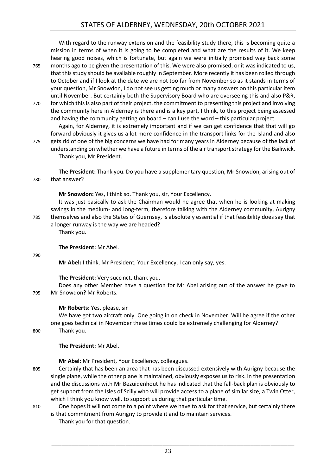With regard to the runway extension and the feasibility study there, this is becoming quite a mission in terms of when it is going to be completed and what are the results of it. We keep hearing good noises, which is fortunate, but again we were initially promised way back some 765 months ago to be given the presentation of this. We were also promised, or it was indicated to us, that this study should be available roughly in September. More recently it has been rolled through to October and if I look at the date we are not too far from November so as it stands in terms of your question, Mr Snowdon, I do not see us getting much or many answers on this particular item until November. But certainly both the Supervisory Board who are overseeing this and also P&R,

770 for which this is also part of their project, the commitment to presenting this project and involving the community here in Alderney is there and is a key part, I think, to this project being assessed and having the community getting on board – can I use the word – this particular project.

Again, for Alderney, it is extremely important and if we can get confidence that that will go forward obviously it gives us a lot more confidence in the transport links for the Island and also

775 gets rid of one of the big concerns we have had for many years in Alderney because of the lack of understanding on whether we have a future in terms of the air transport strategy for the Bailiwick. Thank you, Mr President.

**The President:** Thank you. Do you have a supplementary question, Mr Snowdon, arising out of 780 that answer?

**Mr Snowdon:** Yes, I think so. Thank you, sir, Your Excellency.

It was just basically to ask the Chairman would he agree that when he is looking at making savings in the medium- and long-term, therefore talking with the Alderney community, Aurigny 785 themselves and also the States of Guernsey, is absolutely essential if that feasibility does say that a longer runway is the way we are headed?

Thank you.

**The President:** Mr Abel.

790

**Mr Abel:** I think, Mr President, Your Excellency, I can only say, yes.

#### **The President:** Very succinct, thank you.

Does any other Member have a question for Mr Abel arising out of the answer he gave to 795 Mr Snowdon? Mr Roberts.

#### **Mr Roberts:** Yes, please, sir

We have got two aircraft only. One going in on check in November. Will he agree if the other one goes technical in November these times could be extremely challenging for Alderney? 800 Thank you.

**The President:** Mr Abel.

**Mr Abel:** Mr President, Your Excellency, colleagues.

- 805 Certainly that has been an area that has been discussed extensively with Aurigny because the single plane, while the other plane is maintained, obviously exposes us to risk. In the presentation and the discussions with Mr Bezuidenhout he has indicated that the fall-back plan is obviously to get support from the Isles of Scilly who will provide access to a plane of similar size, a Twin Otter, which I think you know well, to support us during that particular time.
- 810 One hopes it will not come to a point where we have to ask for that service, but certainly there is that commitment from Aurigny to provide it and to maintain services.
	- Thank you for that question.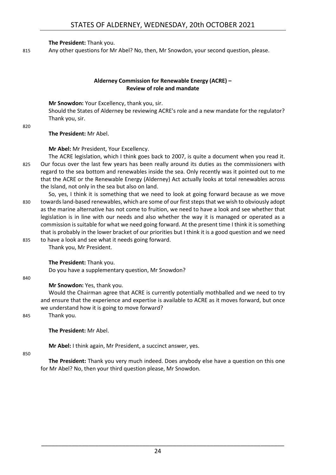**The President:** Thank you.

815 Any other questions for Mr Abel? No, then, Mr Snowdon, your second question, please.

# **Alderney Commission for Renewable Energy (ACRE) – Review of role and mandate**

<span id="page-23-0"></span>**Mr Snowdon:** Your Excellency, thank you, sir. Should the States of Alderney be reviewing ACRE's role and a new mandate for the regulator? Thank you, sir.

820

# **The President:** Mr Abel.

**Mr Abel:** Mr President, Your Excellency.

- The ACRE legislation, which I think goes back to 2007, is quite a document when you read it. 825 Our focus over the last few years has been really around its duties as the commissioners with regard to the sea bottom and renewables inside the sea. Only recently was it pointed out to me that the ACRE or the Renewable Energy (Alderney) Act actually looks at total renewables across the Island, not only in the sea but also on land.
- So, yes, I think it is something that we need to look at going forward because as we move 830 towards land-based renewables, which are some of our first steps that we wish to obviously adopt as the marine alternative has not come to fruition, we need to have a look and see whether that legislation is in line with our needs and also whether the way it is managed or operated as a commission is suitable for what we need going forward. At the present time I think it is something that is probably in the lower bracket of our priorities but I think it is a good question and we need
- 835 to have a look and see what it needs going forward. Thank you, Mr President.

**The President:** Thank you.

Do you have a supplementary question, Mr Snowdon?

840

# **Mr Snowdon:** Yes, thank you.

Would the Chairman agree that ACRE is currently potentially mothballed and we need to try and ensure that the experience and expertise is available to ACRE as it moves forward, but once we understand how it is going to move forward?

845 Thank you.

# **The President:** Mr Abel.

**Mr Abel:** I think again, Mr President, a succinct answer, yes.

850

**The President:** Thank you very much indeed. Does anybody else have a question on this one for Mr Abel? No, then your third question please, Mr Snowdon.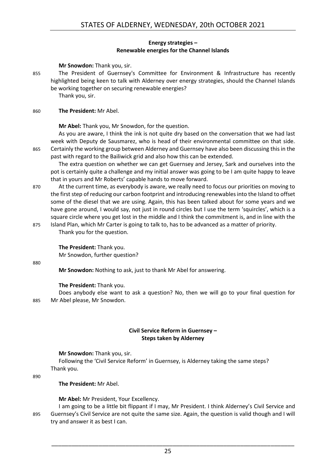#### **Energy strategies – Renewable energies for the Channel Islands**

#### <span id="page-24-0"></span>**Mr Snowdon:** Thank you, sir.

855 The President of Guernsey's Committee for Environment & Infrastructure has recently highlighted being keen to talk with Alderney over energy strategies, should the Channel Islands be working together on securing renewable energies?

Thank you, sir.

#### 860 **The President:** Mr Abel.

**Mr Abel:** Thank you, Mr Snowdon, for the question.

As you are aware, I think the ink is not quite dry based on the conversation that we had last week with Deputy de Sausmarez, who is head of their environmental committee on that side. 865 Certainly the working group between Alderney and Guernsey have also been discussing this in the past with regard to the Bailiwick grid and also how this can be extended.

The extra question on whether we can get Guernsey and Jersey, Sark and ourselves into the pot is certainly quite a challenge and my initial answer was going to be I am quite happy to leave that in yours and Mr Roberts' capable hands to move forward.

- 870 At the current time, as everybody is aware, we really need to focus our priorities on moving to the first step of reducing our carbon footprint and introducing renewables into the Island to offset some of the diesel that we are using. Again, this has been talked about for some years and we have gone around, I would say, not just in round circles but I use the term 'squircles', which is a square circle where you get lost in the middle and I think the commitment is, and in line with the
- 875 Island Plan, which Mr Carter is going to talk to, has to be advanced as a matter of priority. Thank you for the question.

**The President:** Thank you.

Mr Snowdon, further question?

880

**Mr Snowdon:** Nothing to ask, just to thank Mr Abel for answering.

#### **The President:** Thank you.

Does anybody else want to ask a question? No, then we will go to your final question for 885 Mr Abel please, Mr Snowdon.

#### **Civil Service Reform in Guernsey – Steps taken by Alderney**

<span id="page-24-1"></span>**Mr Snowdon:** Thank you, sir.

Following the 'Civil Service Reform' in Guernsey, is Alderney taking the same steps? Thank you.

890

#### **The President:** Mr Abel.

**Mr Abel:** Mr President, Your Excellency.

I am going to be a little bit flippant if I may, Mr President. I think Alderney's Civil Service and 895 Guernsey's Civil Service are not quite the same size. Again, the question is valid though and I will try and answer it as best I can.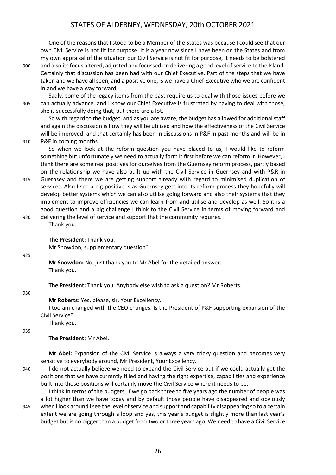One of the reasons that I stood to be a Member of the States was because I could see that our own Civil Service is not fit for purpose. It is a year now since I have been on the States and from my own appraisal of the situation our Civil Service is not fit for purpose, it needs to be bolstered 900 and also its focus altered, adjusted and focussed on delivering a good level of service to the Island. Certainly that discussion has been had with our Chief Executive. Part of the steps that we have taken and we have all seen, and a positive one, is we have a Chief Executive who we are confident in and we have a way forward.

Sadly, some of the legacy items from the past require us to deal with those issues before we 905 can actually advance, and I know our Chief Executive is frustrated by having to deal with those, she is successfully doing that, but there are a lot.

So with regard to the budget, and as you are aware, the budget has allowed for additional staff and again the discussion is how they will be utilised and how the effectiveness of the Civil Service will be improved, and that certainly has been in discussions in P&F in past months and will be in 910 P&F in coming months.

So when we look at the reform question you have placed to us, I would like to reform something but unfortunately we need to actually form it first before we can reform it. However, I think there are some real positives for ourselves from the Guernsey reform process, partly based on the relationship we have also built up with the Civil Service in Guernsey and with P&R in

915 Guernsey and there we are getting support already with regard to minimised duplication of services. Also I see a big positive is as Guernsey gets into its reform process they hopefully will develop better systems which we can also utilise going forward and also their systems that they implement to improve efficiencies we can learn from and utilise and develop as well. So it is a good question and a big challenge I think to the Civil Service in terms of moving forward and 920 delivering the level of service and support that the community requires.

#### **The President:** Thank you.

Mr Snowdon, supplementary question?

#### 925

**Mr Snowdon:** No, just thank you to Mr Abel for the detailed answer. Thank you.

**The President:** Thank you. Anybody else wish to ask a question? Mr Roberts.

#### 930

#### **Mr Roberts:** Yes, please, sir, Your Excellency.

I too am changed with the CEO changes. Is the President of P&F supporting expansion of the Civil Service?

Thank you.

Thank you.

935

#### **The President:** Mr Abel.

**Mr Abel:** Expansion of the Civil Service is always a very tricky question and becomes very sensitive to everybody around, Mr President, Your Excellency.

940 I do not actually believe we need to expand the Civil Service but if we could actually get the positions that we have currently filled and having the right expertise, capabilities and experience built into those positions will certainly move the Civil Service where it needs to be.

I think in terms of the budgets, if we go back three to five years ago the number of people was a lot higher than we have today and by default those people have disappeared and obviously 945 when I look around I see the level of service and support and capability disappearing so to a certain extent we are going through a loop and yes, this year's budget is slightly more than last year's budget but is no bigger than a budget from two or three years ago. We need to have a Civil Service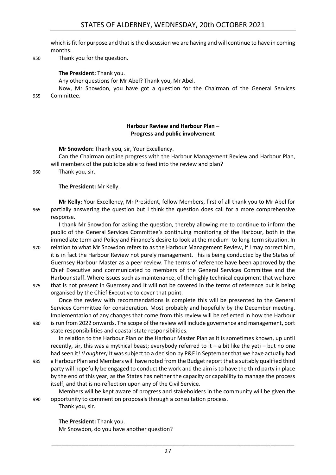which is fit for purpose and that is the discussion we are having and will continue to have in coming months.

950 Thank you for the question.

#### **The President:** Thank you.

Any other questions for Mr Abel? Thank you, Mr Abel.

Now, Mr Snowdon, you have got a question for the Chairman of the General Services 955 Committee.

#### **Harbour Review and Harbour Plan – Progress and public involvement**

<span id="page-26-0"></span>**Mr Snowdon:** Thank you, sir, Your Excellency.

Can the Chairman outline progress with the Harbour Management Review and Harbour Plan, will members of the public be able to feed into the review and plan?

960 Thank you, sir.

#### **The President:** Mr Kelly.

**Mr Kelly:** Your Excellency, Mr President, fellow Members, first of all thank you to Mr Abel for 965 partially answering the question but I think the question does call for a more comprehensive response.

I thank Mr Snowdon for asking the question, thereby allowing me to continue to inform the public of the General Services Committee's continuing monitoring of the Harbour, both in the immediate term and Policy and Finance's desire to look at the medium- to long-term situation. In

- 970 relation to what Mr Snowdon refers to as the Harbour Management Review, if I may correct him, it is in fact the Harbour Review not purely management. This is being conducted by the States of Guernsey Harbour Master as a peer review. The terms of reference have been approved by the Chief Executive and communicated to members of the General Services Committee and the Harbour staff. Where issues such as maintenance, of the highly technical equipment that we have
- 975 that is not present in Guernsey and it will not be covered in the terms of reference but is being organised by the Chief Executive to cover that point.

Once the review with recommendations is complete this will be presented to the General Services Committee for consideration. Most probably and hopefully by the December meeting. Implementation of any changes that come from this review will be reflected in how the Harbour 980 is run from 2022 onwards. The scope of the review will include governance and management, port state responsibilities and coastal state responsibilities.

In relation to the Harbour Plan or the Harbour Master Plan as it is sometimes known, up until recently, sir, this was a mythical beast; everybody referred to it – a bit like the yeti – but no one had seen it! *(Laughter)* It was subject to a decision by P&F in September that we have actually had

985 a Harbour Plan and Members will have noted from the Budget report that a suitably qualified third party will hopefully be engaged to conduct the work and the aim is to have the third party in place by the end of this year, as the States has neither the capacity or capability to manage the process itself, and that is no reflection upon any of the Civil Service.

Members will be kept aware of progress and stakeholders in the community will be given the 990 opportunity to comment on proposals through a consultation process. Thank you, sir.

**The President:** Thank you.

Mr Snowdon, do you have another question?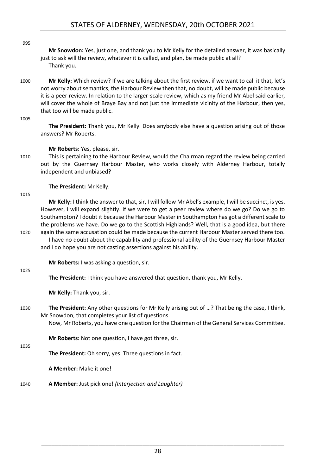**Mr Snowdon:** Yes, just one, and thank you to Mr Kelly for the detailed answer, it was basically just to ask will the review, whatever it is called, and plan, be made public at all? Thank you.

1000 **Mr Kelly:** Which review? If we are talking about the first review, if we want to call it that, let's not worry about semantics, the Harbour Review then that, no doubt, will be made public because it is a peer review. In relation to the larger-scale review, which as my friend Mr Abel said earlier, will cover the whole of Braye Bay and not just the immediate vicinity of the Harbour, then yes, that too will be made public.

#### 1005

995

**The President:** Thank you, Mr Kelly. Does anybody else have a question arising out of those answers? Mr Roberts.

#### **Mr Roberts:** Yes, please, sir.

1010 This is pertaining to the Harbour Review, would the Chairman regard the review being carried out by the Guernsey Harbour Master, who works closely with Alderney Harbour, totally independent and unbiased?

#### **The President:** Mr Kelly.

#### 1015

**Mr Kelly:** I think the answer to that, sir, I will follow Mr Abel's example, I will be succinct, is yes. However, I will expand slightly. If we were to get a peer review where do we go? Do we go to Southampton? I doubt it because the Harbour Master in Southampton has got a different scale to the problems we have. Do we go to the Scottish Highlands? Well, that is a good idea, but there 1020 again the same accusation could be made because the current Harbour Master served there too.

I have no doubt about the capability and professional ability of the Guernsey Harbour Master and I do hope you are not casting assertions against his ability.

**Mr Roberts:** I was asking a question, sir.

#### 1025

**The President:** I think you have answered that question, thank you, Mr Kelly.

**Mr Kelly:** Thank you, sir.

1030 **The President:** Any other questions for Mr Kelly arising out of …? That being the case, I think, Mr Snowdon, that completes your list of questions.

Now, Mr Roberts, you have one question for the Chairman of the General Services Committee.

**Mr Roberts:** Not one question, I have got three, sir.

1035

**The President:** Oh sorry, yes. Three questions in fact.

**A Member:** Make it one!

1040 **A Member:** Just pick one! *(Interjection and Laughter)*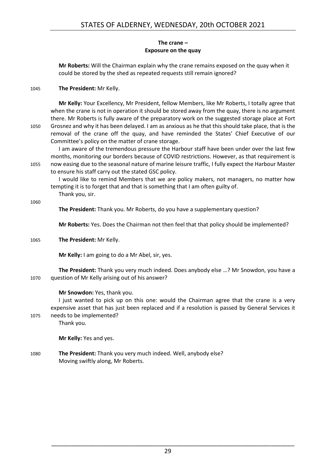#### **The crane – Exposure on the quay**

<span id="page-28-0"></span>**Mr Roberts:** Will the Chairman explain why the crane remains exposed on the quay when it could be stored by the shed as repeated requests still remain ignored?

### 1045 **The President:** Mr Kelly.

**Mr Kelly:** Your Excellency, Mr President, fellow Members, like Mr Roberts, I totally agree that when the crane is not in operation it should be stored away from the quay, there is no argument there. Mr Roberts is fully aware of the preparatory work on the suggested storage place at Fort 1050 Grosnez and why it has been delayed. I am as anxious as he that this should take place, that is the removal of the crane off the quay, and have reminded the States' Chief Executive of our Committee's policy on the matter of crane storage.

I am aware of the tremendous pressure the Harbour staff have been under over the last few months, monitoring our borders because of COVID restrictions. However, as that requirement is 1055 now easing due to the seasonal nature of marine leisure traffic, I fully expect the Harbour Master to ensure his staff carry out the stated GSC policy.

I would like to remind Members that we are policy makers, not managers, no matter how tempting it is to forget that and that is something that I am often guilty of. Thank you, sir.

1060

**The President:** Thank you. Mr Roberts, do you have a supplementary question?

**Mr Roberts:** Yes. Does the Chairman not then feel that that policy should be implemented?

#### 1065 **The President:** Mr Kelly.

**Mr Kelly:** I am going to do a Mr Abel, sir, yes.

**The President:** Thank you very much indeed. Does anybody else …? Mr Snowdon, you have a 1070 question of Mr Kelly arising out of his answer?

#### **Mr Snowdon:** Yes, thank you.

I just wanted to pick up on this one: would the Chairman agree that the crane is a very expensive asset that has just been replaced and if a resolution is passed by General Services it 1075 needs to be implemented?

Thank you.

**Mr Kelly:** Yes and yes.

1080 **The President:** Thank you very much indeed. Well, anybody else? Moving swiftly along, Mr Roberts.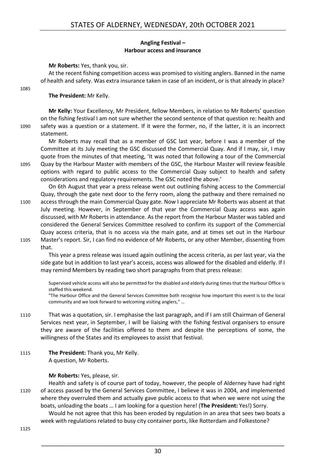#### **Angling Festival – Harbour access and insurance**

#### <span id="page-29-0"></span>**Mr Roberts:** Yes, thank you, sir.

At the recent fishing competition access was promised to visiting anglers. Banned in the name of health and safety. Was extra insurance taken in case of an incident, or is that already in place?

#### **The President:** Mr Kelly.

1085

**Mr Kelly:** Your Excellency, Mr President, fellow Members, in relation to Mr Roberts' question on the fishing festival I am not sure whether the second sentence of that question re: health and 1090 safety was a question or a statement. If it were the former, no, if the latter, it is an incorrect statement.

Mr Roberts may recall that as a member of GSC last year, before I was a member of the Committee at its July meeting the GSC discussed the Commercial Quay. And if I may, sir, I may quote from the minutes of that meeting, 'It was noted that following a tour of the Commercial

1095 Quay by the Harbour Master with members of the GSC, the Harbour Master will review feasible options with regard to public access to the Commercial Quay subject to health and safety considerations and regulatory requirements. The GSC noted the above.'

On 6th August that year a press release went out outlining fishing access to the Commercial Quay, through the gate next door to the ferry room, along the pathway and there remained no 1100 access through the main Commercial Quay gate. Now I appreciate Mr Roberts was absent at that July meeting. However, in September of that year the Commercial Quay access was again discussed, with Mr Roberts in attendance. As the report from the Harbour Master was tabled and considered the General Services Committee resolved to confirm its support of the Commercial Quay access criteria, that is no access via the main gate, and at times set out in the Harbour 1105 Master's report. Sir, I can find no evidence of Mr Roberts, or any other Member, dissenting from that.

This year a press release was issued again outlining the access criteria, as per last year, via the side gate but in addition to last year's access, access was allowed for the disabled and elderly. If I may remind Members by reading two short paragraphs from that press release:

Supervised vehicle access will also be permitted for the disabled and elderly during times that the Harbour Office is staffed this weekend.

"The Harbour Office and the General Services Committee both recognise how important this event is to the local community and we look forward to welcoming visiting anglers," …

- 1110 That was a quotation, sir. I emphasise the last paragraph, and if I am still Chairman of General Services next year, in September, I will be liaising with the fishing festival organisers to ensure they are aware of the facilities offered to them and despite the perceptions of some, the willingness of the States and its employees to assist that festival.
- 1115 **The President:** Thank you, Mr Kelly. A question, Mr Roberts.

#### **Mr Roberts:** Yes, please, sir.

Health and safety is of course part of today, however, the people of Alderney have had right 1120 of access passed by the General Services Committee, I believe it was in 2004, and implemented where they overruled them and actually gave public access to that when we were not using the boats, unloading the boats … I am looking for a question here! (**The President:** Yes!) Sorry.

Would he not agree that this has been eroded by regulation in an area that sees two boats a week with regulations related to busy city container ports, like Rotterdam and Folkestone?

1125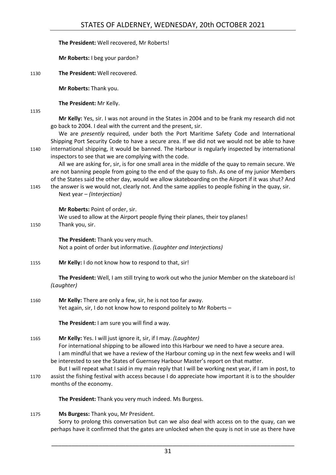### **The President:** Well recovered, Mr Roberts!

**Mr Roberts:** I beg your pardon?

1130 **The President:** Well recovered.

**Mr Roberts:** Thank you.

**The President:** Mr Kelly.

1135

**Mr Kelly:** Yes, sir. I was not around in the States in 2004 and to be frank my research did not go back to 2004. I deal with the current and the present, sir.

We are *presently* required, under both the Port Maritime Safety Code and International Shipping Port Security Code to have a secure area. If we did not we would not be able to have 1140 international shipping, it would be banned. The Harbour is regularly inspected by international inspectors to see that we are complying with the code.

All we are asking for, sir, is for one small area in the middle of the quay to remain secure. We are not banning people from going to the end of the quay to fish. As one of my junior Members of the States said the other day, would we allow skateboarding on the Airport if it was shut? And

1145 the answer is we would not, clearly not. And the same applies to people fishing in the quay, sir. Next year – *(Interjection)* 

**Mr Roberts:** Point of order, sir.

We used to allow at the Airport people flying their planes, their toy planes! 1150 Thank you, sir.

> **The President:** Thank you very much. Not a point of order but informative. *(Laughter and Interjections)*

1155 **Mr Kelly:** I do not know how to respond to that, sir!

**The President:** Well, I am still trying to work out who the junior Member on the skateboard is! *(Laughter)* 

1160 **Mr Kelly:** There are only a few, sir, he is not too far away. Yet again, sir, I do not know how to respond politely to Mr Roberts –

**The President:** I am sure you will find a way.

# 1165 **Mr Kelly:** Yes. I will just ignore it, sir, if I may. *(Laughter)*

For international shipping to be allowed into this Harbour we need to have a secure area. I am mindful that we have a review of the Harbour coming up in the next few weeks and I will be interested to see the States of Guernsey Harbour Master's report on that matter.

But I will repeat what I said in my main reply that I will be working next year, if I am in post, to 1170 assist the fishing festival with access because I do appreciate how important it is to the shoulder months of the economy.

**The President:** Thank you very much indeed. Ms Burgess.

#### 1175 **Ms Burgess:** Thank you, Mr President.

Sorry to prolong this conversation but can we also deal with access on to the quay, can we perhaps have it confirmed that the gates are unlocked when the quay is not in use as there have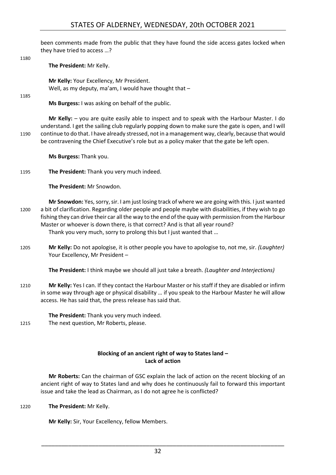# STATES OF ALDERNEY, WEDNESDAY, 20th OCTOBER 2021

been comments made from the public that they have found the side access gates locked when they have tried to access …?

1180

**The President:** Mr Kelly.

**Mr Kelly:** Your Excellency, Mr President. Well, as my deputy, ma'am, I would have thought that -

1185

**Ms Burgess:** I was asking on behalf of the public.

**Mr Kelly:** – you are quite easily able to inspect and to speak with the Harbour Master. I do understand. I get the sailing club regularly popping down to make sure the gate is open, and I will 1190 continue to do that. I have already stressed, not in a management way, clearly, because that would be contravening the Chief Executive's role but as a policy maker that the gate be left open.

**Ms Burgess:** Thank you.

1195 **The President:** Thank you very much indeed.

**The President:** Mr Snowdon.

**Mr Snowdon:** Yes, sorry, sir. I am just losing track of where we are going with this. I just wanted 1200 a bit of clarification. Regarding older people and people maybe with disabilities, if they wish to go fishing they can drive their car all the way to the end of the quay with permission from the Harbour Master or whoever is down there, is that correct? And is that all year round? Thank you very much, sorry to prolong this but I just wanted that …

1205 **Mr Kelly:** Do not apologise, it is other people you have to apologise to, not me, sir. *(Laughter)* Your Excellency, Mr President –

**The President:** I think maybe we should all just take a breath. *(Laughter and Interjections)*

1210 **Mr Kelly:** Yes I can. If they contact the Harbour Master or his staff if they are disabled or infirm in some way through age or physical disability … if you speak to the Harbour Master he will allow access. He has said that, the press release has said that.

**The President:** Thank you very much indeed. 1215 The next question, Mr Roberts, please.

#### **Blocking of an ancient right of way to States land – Lack of action**

<span id="page-31-0"></span>**Mr Roberts:** Can the chairman of GSC explain the lack of action on the recent blocking of an ancient right of way to States land and why does he continuously fail to forward this important issue and take the lead as Chairman, as I do not agree he is conflicted?

1220 **The President:** Mr Kelly.

**Mr Kelly:** Sir, Your Excellency, fellow Members.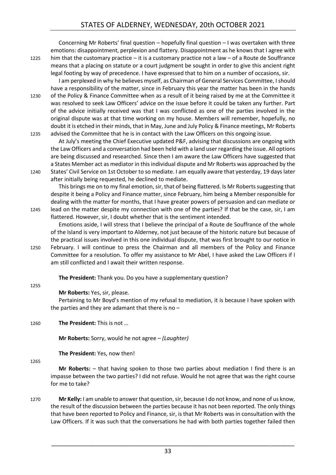Concerning Mr Roberts' final question – hopefully final question – I was overtaken with three emotions: disappointment, perplexion and flattery. Disappointment as he knows that I agree with 1225 him that the customary practice – it is a customary practice not a law – of a Route de Souffrance means that a placing on statute or a court judgment be sought in order to give this ancient right legal footing by way of precedence. I have expressed that to him on a number of occasions, sir.

I am perplexed in why he believes myself, as Chairman of General Services Committee, I should have a responsibility of the matter, since in February this year the matter has been in the hands 1230 of the Policy & Finance Committee when as a result of it being raised by me at the Committee it was resolved to seek Law Officers' advice on the issue before it could be taken any further. Part of the advice initially received was that I was conflicted as one of the parties involved in the original dispute was at that time working on my house. Members will remember, hopefully, no doubt it is etched in their minds, that in May, June and July Policy & Finance meetings, Mr Roberts 1235 advised the Committee that he is in contact with the Law Officers on this ongoing issue.

At July's meeting the Chief Executive updated P&F, advising that discussions are ongoing with the Law Officers and a conversation had been held with a land user regarding the issue. All options are being discussed and researched. Since then I am aware the Law Officers have suggested that a States Member act as mediator in this individual dispute and Mr Roberts was approached by the 1240 States' Civil Service on 1st October to so mediate. I am equally aware that yesterday, 19 days later after initially being requested, he declined to mediate.

This brings me on to my final emotion, sir, that of being flattered. Is Mr Roberts suggesting that despite it being a Policy and Finance matter, since February, him being a Member responsible for dealing with the matter for months, that I have greater powers of persuasion and can mediate or 1245 lead on the matter despite my connection with one of the parties? If that be the case, sir, I am flattered. However, sir, I doubt whether that is the sentiment intended.

Emotions aside, I will stress that I believe the principal of a Route de Souffrance of the whole of the Island is very important to Alderney, not just because of the historic nature but because of the practical issues involved in this one individual dispute, that was first brought to our notice in 1250 February. I will continue to press the Chairman and all members of the Policy and Finance Committee for a resolution. To offer my assistance to Mr Abel, I have asked the Law Officers if I am still conflicted and I await their written response.

**The President:** Thank you. Do you have a supplementary question?

1255

# **Mr Roberts:** Yes, sir, please.

Pertaining to Mr Boyd's mention of my refusal to mediation, it is because I have spoken with the parties and they are adamant that there is no  $-$ 

1260 **The President:** This is not …

**Mr Roberts:** Sorry, would he not agree – *(Laughter)*

**The President:** Yes, now then!

1265

**Mr Roberts:** – that having spoken to those two parties about mediation I find there is an impasse between the two parties? I did not refuse. Would he not agree that was the right course for me to take?

1270 **Mr Kelly:** I am unable to answer that question, sir, because I do not know, and none of us know, the result of the discussion between the parties because it has not been reported. The only things that have been reported to Policy and Finance, sir, is that Mr Roberts was in consultation with the Law Officers. If it was such that the conversations he had with both parties together failed then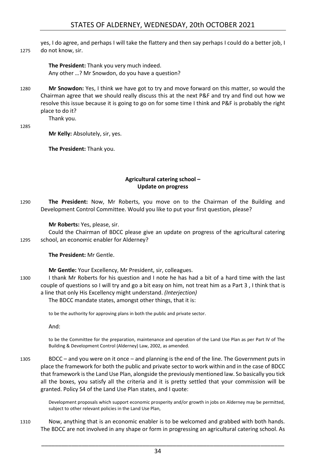yes, I do agree, and perhaps I will take the flattery and then say perhaps I could do a better job, I 1275 do not know, sir.

> **The President:** Thank you very much indeed. Any other …? Mr Snowdon, do you have a question?

1280 **Mr Snowdon:** Yes, I think we have got to try and move forward on this matter, so would the Chairman agree that we should really discuss this at the next P&F and try and find out how we resolve this issue because it is going to go on for some time I think and P&F is probably the right place to do it?

1285

**Mr Kelly:** Absolutely, sir, yes.

Thank you.

**The President:** Thank you.

#### **Agricultural catering school – Update on progress**

<span id="page-33-0"></span>1290 **The President:** Now, Mr Roberts, you move on to the Chairman of the Building and Development Control Committee. Would you like to put your first question, please?

#### **Mr Roberts:** Yes, please, sir.

Could the Chairman of BDCC please give an update on progress of the agricultural catering 1295 school, an economic enabler for Alderney?

#### **The President:** Mr Gentle.

**Mr Gentle:** Your Excellency, Mr President, sir, colleagues.

1300 I thank Mr Roberts for his question and I note he has had a bit of a hard time with the last couple of questions so I will try and go a bit easy on him, not treat him as a Part 3 , I think that is a line that only His Excellency might understand. *(Interjection)*

#### The BDCC mandate states, amongst other things, that it is:

to be the authority for approving plans in both the public and private sector.

And:

to be the Committee for the preparation, maintenance and operation of the Land Use Plan as per Part IV of The Building & Development Control (Alderney) Law, 2002, as amended.

1305 BDCC – and you were on it once – and planning is the end of the line. The Government puts in place the framework for both the public and private sector to work within and in the case of BDCC that framework is the Land Use Plan, alongside the previously mentioned law. So basically you tick all the boxes, you satisfy all the criteria and it is pretty settled that your commission will be granted. Policy S4 of the Land Use Plan states, and I quote:

> Development proposals which support economic prosperity and/or growth in jobs on Alderney may be permitted, subject to other relevant policies in the Land Use Plan,

1310 Now, anything that is an economic enabler is to be welcomed and grabbed with both hands. The BDCC are not involved in any shape or form in progressing an agricultural catering school. As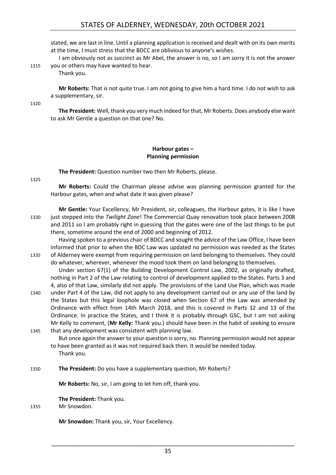stated, we are last in line. Until a planning application is received and dealt with on its own merits at the time, I must stress that the BDCC are oblivious to anyone's wishes.

I am obviously not as succinct as Mr Abel, the answer is no, so I am sorry it is not the answer 1315 you or others may have wanted to hear.

Thank you.

**Mr Roberts:** That is not quite true. I am not going to give him a hard time. I do not wish to ask a supplementary, sir.

1320

**The President:** Well, thank you very much indeed for that, Mr Roberts. Does anybody else want to ask Mr Gentle a question on that one? No.

# **Harbour gates – Planning permission**

<span id="page-34-0"></span>**The President:** Question number two then Mr Roberts, please.

1325

**Mr Roberts:** Could the Chairman please advise was planning permission granted for the Harbour gates, when and what date it was given please?

**Mr Gentle:** Your Excellency, Mr President, sir, colleagues, the Harbour gates, it is like I have 1330 just stepped into the *Twilight Zone*! The Commercial Quay renovation took place between 2008 and 2011 so I am probably right in guessing that the gates were one of the last things to be put there, sometime around the end of 2000 and beginning of 2012.

Having spoken to a previous chair of BDCC and sought the advice of the Law Office, I have been informed that prior to when the BDC Law was updated no permission was needed as the States 1335 of Alderney were exempt from requiring permission on land belonging to themselves. They could do whatever, wherever, whenever the mood took them on land belonging to themselves.

Under section 67(1) of the Building Development Control Law, 2002, as originally drafted, nothing in Part 2 of the Law relating to control of development applied to the States. Parts 3 and 4, also of that Law, similarly did not apply. The provisions of the Land Use Plan, which was made

1340 under Part 4 of the Law, did not apply to any development carried out or any use of the land by the States but this legal loophole was closed when Section 67 of the Law was amended by Ordinance with effect from 14th March 2018, and this is covered in Parts 12 and 13 of the Ordinance. In practice the States, and I think it is probably through GSC, but I am not asking Mr Kelly to comment, (**Mr Kelly:** Thank you.) should have been in the habit of seeking to ensure 1345 that any development was consistent with planning law.

But once again the answer to your question is sorry, no. Planning permission would not appear to have been granted as it was not required back then. It would be needed today. Thank you.

1350 **The President:** Do you have a supplementary question, Mr Roberts?

**Mr Roberts:** No, sir, I am going to let him off, thank you.

**The President:** Thank you.

1355 Mr Snowdon.

**Mr Snowdon:** Thank you, sir, Your Excellency.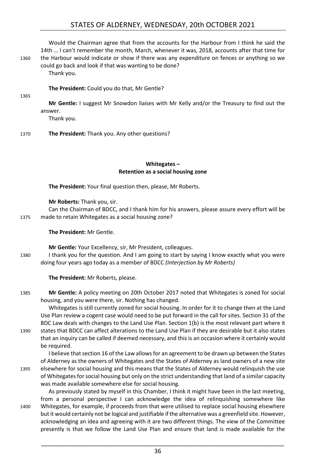# STATES OF ALDERNEY, WEDNESDAY, 20th OCTOBER 2021

Would the Chairman agree that from the accounts for the Harbour from I think he said the 14th … I can't remember the month, March, whenever it was, 2018, accounts after that time for 1360 the Harbour would indicate or show if there was any expenditure on fences or anything so we could go back and look if that was wanting to be done?

Thank you.

**The President:** Could you do that, Mr Gentle?

1365

**Mr Gentle:** I suggest Mr Snowdon liaises with Mr Kelly and/or the Treasury to find out the answer.

Thank you.

1370 **The President:** Thank you. Any other questions?

#### **Whitegates – Retention as a social housing zone**

<span id="page-35-0"></span>**The President:** Your final question then, please, Mr Roberts.

**Mr Roberts:** Thank you, sir.

Can the Chairman of BDCC, and I thank him for his answers, please assure every effort will be 1375 made to retain Whitegates as a social housing zone?

**The President:** Mr Gentle.

**Mr Gentle:** Your Excellency, sir, Mr President, colleagues.

1380 I thank you for the question. And I am going to start by saying I know exactly what you were doing four years ago today as a member of BDCC *(Interjection by Mr Roberts)*

**The President:** Mr Roberts, please.

1385 **Mr Gentle:** A policy meeting on 20th October 2017 noted that Whitegates is zoned for social housing, and you were there, sir. Nothing has changed.

Whitegates is still currently zoned for social housing. In order for it to change then at the Land Use Plan review a cogent case would need to be put forward in the call for sites. Section 31 of the BDC Law deals with changes to the Land Use Plan. Section 1(b) is the most relevant part where it 1390 states that BDCC can affect alterations to the Land Use Plan if they are desirable but it also states that an inquiry can be called if deemed necessary, and this is an occasion where it certainly would be required.

I believe that section 16 of the Law allows for an agreement to be drawn up between the States of Alderney as the owners of Whitegates and the States of Alderney as land owners of a new site 1395 elsewhere for social housing and this means that the States of Alderney would relinquish the use of Whitegates for social housing but only on the strict understanding that land of a similar capacity was made available somewhere else for social housing.

As previously stated by myself in this Chamber, I think it might have been in the last meeting, from a personal perspective I can acknowledge the idea of relinquishing somewhere like 1400 Whitegates, for example, if proceeds from that were utilised to replace social housing elsewhere but it would certainly not be logical and justifiable if the alternative was a greenfield site. However, acknowledging an idea and agreeing with it are two different things. The view of the Committee presently is that we follow the Land Use Plan and ensure that land is made available for the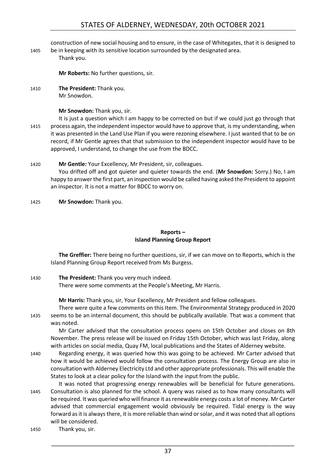# STATES OF ALDERNEY, WEDNESDAY, 20th OCTOBER 2021

construction of new social housing and to ensure, in the case of Whitegates, that it is designed to 1405 be in keeping with its sensitive location surrounded by the designated area.

Thank you.

**Mr Roberts:** No further questions, sir.

1410 **The President:** Thank you. Mr Snowdon.

**Mr Snowdon:** Thank you, sir.

- It is just a question which I am happy to be corrected on but if we could just go through that 1415 process again, the independent inspector would have to approve that, is my understanding, when it was presented in the Land Use Plan if you were rezoning elsewhere. I just wanted that to be on record, if Mr Gentle agrees that that submission to the independent inspector would have to be approved, I understand, to change the use from the BDCC.
- 1420 **Mr Gentle:** Your Excellency, Mr President, sir, colleagues. You drifted off and got quieter and quieter towards the end. (**Mr Snowdon:** Sorry.) No, I am happy to answer the first part, an inspection would be called having asked the President to appoint an inspector. It is not a matter for BDCC to worry on.
- 1425 **Mr Snowdon:** Thank you.

#### **Reports – Island Planning Group Report**

<span id="page-36-0"></span>**The Greffier:** There being no further questions, sir, if we can move on to Reports, which is the Island Planning Group Report received from Ms Burgess.

1430 **The President:** Thank you very much indeed.

There were some comments at the People's Meeting, Mr Harris.

**Mr Harris:** Thank you, sir, Your Excellency, Mr President and fellow colleagues.

There were quite a few comments on this Item. The Environmental Strategy produced in 2020 1435 seems to be an internal document, this should be publically available. That was a comment that was noted.

Mr Carter advised that the consultation process opens on 15th October and closes on 8th November. The press release will be issued on Friday 15th October, which was last Friday, along with articles on social media, Quay FM, local publications and the States of Alderney website.

- 1440 Regarding energy, it was queried how this was going to be achieved. Mr Carter advised that how it would be achieved would follow the consultation process. The Energy Group are also in consultation with Alderney Electricity Ltd and other appropriate professionals. This will enable the States to look at a clear policy for the Island with the input from the public.
- It was noted that progressing energy renewables will be beneficial for future generations. 1445 Consultation is also planned for the school. A query was raised as to how many consultants will be required. It was queried who will finance it as renewable energy costs a lot of money. Mr Carter advised that commercial engagement would obviously be required. Tidal energy is the way forward as it is always there, it is more reliable than wind or solar, and it was noted that all options will be considered.

1450 Thank you, sir.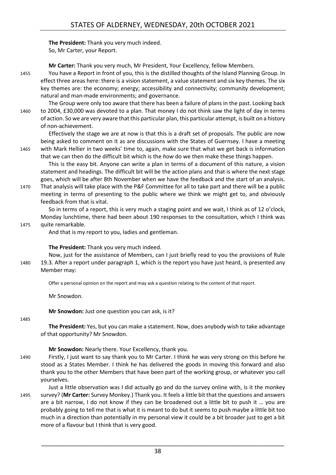**The President:** Thank you very much indeed. So, Mr Carter, your Report.

**Mr Carter:** Thank you very much, Mr President, Your Excellency, fellow Members.

1455 You have a Report in front of you, this is the distilled thoughts of the Island Planning Group. In effect three areas here: there is a vision statement, a value statement and six key themes. The six key themes are: the economy; energy; accessibility and connectivity; community development; natural and man-made environments; and governance.

The Group were only too aware that there has been a failure of plans in the past. Looking back 1460 to 2004, £30,000 was devoted to a plan. That money I do not think saw the light of day in terms of action. So we are very aware that this particular plan, this particular attempt, is built on a history of non-achievement.

Effectively the stage we are at now is that this is a draft set of proposals. The public are now being asked to comment on it as are discussions with the States of Guernsey. I have a meeting 1465 with Mark Hellier in two weeks' time to, again, make sure that what we get back is information that we can then do the difficult bit which is the *how* do we then make these things happen.

This is the easy bit. Anyone can write a plan in terms of a document of this nature, a vision statement and headings. The difficult bit will be the action plans and that is where the next stage goes, which will be after 8th November when we have the feedback and the start of an analysis.

1470 That analysis will take place with the P&F Committee for all to take part and there will be a public meeting in terms of presenting to the public where we think we might get to, and obviously feedback from that is vital.

So in terms of a report, this is very much a staging point and we wait, I think as of 12 o'clock, Monday lunchtime, there had been about 190 responses to the consultation, which I think was 1475 quite remarkable.

And that is my report to you, ladies and gentleman.

**The President:** Thank you very much indeed.

Now, just for the assistance of Members, can I just briefly read to you the provisions of Rule 1480 19.3. After a report under paragraph 1, which is the report you have just heard, is presented any Member may:

Offer a personal opinion on the report and may ask a question relating to the content of that report.

Mr Snowdon.

**Mr Snowdon:** Just one question you can ask, is it?

1485

**The President:** Yes, but you can make a statement. Now, does anybody wish to take advantage of that opportunity? Mr Snowdon.

**Mr Snowdon:** Nearly there. Your Excellency, thank you.

- 1490 Firstly, I just want to say thank you to Mr Carter. I think he was very strong on this before he stood as a States Member. I think he has delivered the goods in moving this forward and also thank you to the other Members that have been part of the working group, or whatever you call yourselves.
- Just a little observation was I did actually go and do the survey online with, is it the monkey 1495 survey? (**Mr Carter:** Survey Monkey.) Thank you. It feels a little bit that the questions and answers are a bit narrow, I do not know if they can be broadened out a little bit to push it … you are probably going to tell me that is what it is meant to do but it seems to push maybe a little bit too much in a direction than potentially in my personal view it could be a bit broader just to get a bit more of a flavour but I think that is very good.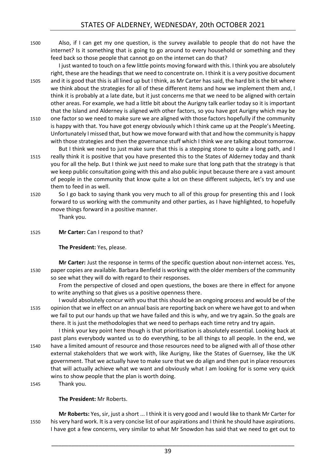1500 Also, if I can get my one question, is the survey available to people that do not have the internet? Is it something that is going to go around to every household or something and they feed back so those people that cannot go on the internet can do that?

I just wanted to touch on a few little points moving forward with this. I think you are absolutely right, these are the headings that we need to concentrate on. I think it is a very positive document 1505 and it is good that this is all lined up but I think, as Mr Carter has said, the hard bit is the bit where we think about the strategies for all of these different items and how we implement them and, I think it is probably at a late date, but it just concerns me that we need to be aligned with certain other areas. For example, we had a little bit about the Aurigny talk earlier today so it is important that the Island and Alderney is aligned with other factors, so you have got Aurigny which may be

- 1510 one factor so we need to make sure we are aligned with those factors hopefully if the community is happy with that. You have got energy obviously which I think came up at the People's Meeting. Unfortunately I missed that, but how we move forward with that and how the community is happy with those strategies and then the governance stuff which I think we are talking about tomorrow.
- But I think we need to just make sure that this is a stepping stone to quite a long path, and I 1515 really think it is positive that you have presented this to the States of Alderney today and thank you for all the help. But I think we just need to make sure that long path that the strategy is that we keep public consultation going with this and also public input because there are a vast amount of people in the community that know quite a lot on these different subjects, let's try and use them to feed in as well.
- 1520 So I go back to saying thank you very much to all of this group for presenting this and I look forward to us working with the community and other parties, as I have highlighted, to hopefully move things forward in a positive manner.

Thank you.

1525 **Mr Carter:** Can I respond to that?

**The President:** Yes, please.

**Mr Carter:** Just the response in terms of the specific question about non-internet access. Yes, 1530 paper copies are available. Barbara Benfield is working with the older members of the community so see what they will do with regard to their responses.

From the perspective of closed and open questions, the boxes are there in effect for anyone to write anything so that gives us a positive openness there.

I would absolutely concur with you that this should be an ongoing process and would be of the 1535 opinion that we in effect on an annual basis are reporting back on where we have got to and when we fail to put our hands up that we have failed and this is why, and we try again. So the goals are there. It is just the methodologies that we need to perhaps each time retry and try again.

I think your key point here though is that prioritisation is absolutely essential. Looking back at past plans everybody wanted us to do everything, to be all things to all people. In the end, we 1540 have a limited amount of resource and those resources need to be aligned with all of those other external stakeholders that we work with, like Aurigny, like the States of Guernsey, like the UK government. That we actually have to make sure that we do align and then put in place resources that will actually achieve what we want and obviously what I am looking for is some very quick wins to show people that the plan is worth doing.

1545 Thank you.

**The President:** Mr Roberts.

**Mr Roberts:** Yes, sir, just a short ... I think it is very good and I would like to thank Mr Carter for 1550 his very hard work. It is a very concise list of our aspirations and I think he should have aspirations. I have got a few concerns, very similar to what Mr Snowdon has said that we need to get out to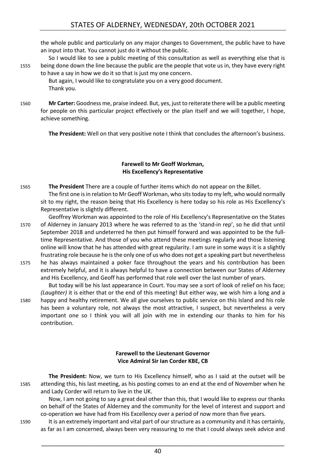the whole public and particularly on any major changes to Government, the public have to have an input into that. You cannot just do it without the public.

So I would like to see a public meeting of this consultation as well as everything else that is 1555 being done down the line because the public are the people that vote us in, they have every right to have a say in how we do it so that is just my one concern.

But again, I would like to congratulate you on a very good document. Thank you.

1560 **Mr Carter:** Goodness me, praise indeed. But, yes, just to reiterate there will be a public meeting for people on this particular project effectively or the plan itself and we will together, I hope, achieve something.

**The President:** Well on that very positive note I think that concludes the afternoon's business.

#### **Farewell to Mr Geoff Workman, His Excellency's Representative**

- <span id="page-39-0"></span>1565 **The President** There are a couple of further items which do not appear on the Billet. The first one is in relation to Mr Geoff Workman, who sits today to my left, who would normally sit to my right, the reason being that His Excellency is here today so his role as His Excellency's Representative is slightly different.
- Geoffrey Workman was appointed to the role of His Excellency's Representative on the States 1570 of Alderney in January 2013 where he was referred to as the 'stand-in rep', so he did that until September 2018 and undeterred he then put himself forward and was appointed to be the fulltime Representative. And those of you who attend these meetings regularly and those listening online will know that he has attended with great regularity. I am sure in some ways it is a slightly frustrating role because he is the only one of us who does not get a speaking part but nevertheless
- 1575 he has always maintained a poker face throughout the years and his contribution has been extremely helpful, and it is always helpful to have a connection between our States of Alderney and His Excellency, and Geoff has performed that role well over the last number of years.

But today will be his last appearance in Court. You may see a sort of look of relief on his face; *(Laughter)* it is either that or the end of this meeting! But either way, we wish him a long and a 1580 happy and healthy retirement. We all give ourselves to public service on this Island and his role has been a voluntary role, not always the most attractive, I suspect, but nevertheless a very important one so I think you will all join with me in extending our thanks to him for his contribution.

#### **Farewell to the Lieutenant Governor Vice Admiral Sir Ian Corder KBE, CB**

<span id="page-39-1"></span>**The President:** Now, we turn to His Excellency himself, who as I said at the outset will be 1585 attending this, his last meeting, as his posting comes to an end at the end of November when he and Lady Corder will return to live in the UK.

Now, I am not going to say a great deal other than this, that I would like to express our thanks on behalf of the States of Alderney and the community for the level of interest and support and co-operation we have had from His Excellency over a period of now more than five years.

1590 It is an extremely important and vital part of our structure as a community and it has certainly, as far as I am concerned, always been very reassuring to me that I could always seek advice and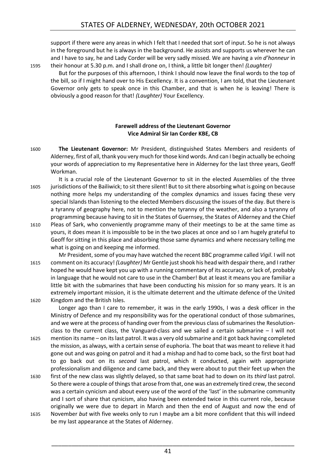support if there were any areas in which I felt that I needed that sort of input. So he is not always in the foreground but he is always in the background. He assists and supports us wherever he can and I have to say, he and Lady Corder will be very sadly missed. We are having a *vin d'honneur* in 1595 their honour at 5.30 p.m. and I shall drone on, I think, a little bit longer then! *(Laughter)*

But for the purposes of this afternoon, I think I should now leave the final words to the top of the bill, so if I might hand over to His Excellency. It is a convention, I am told, that the Lieutenant Governor only gets to speak once in this Chamber, and that is when he is leaving! There is obviously a good reason for that! *(Laughter)* Your Excellency.

# **Farewell address of the Lieutenant Governor Vice Admiral Sir Ian Corder KBE, CB**

- <span id="page-40-0"></span>1600 **The Lieutenant Governor:** Mr President, distinguished States Members and residents of Alderney, first of all, thank you very much for those kind words. And can I begin actually be echoing your words of appreciation to my Representative here in Alderney for the last three years, Geoff Workman.
- It is a crucial role of the Lieutenant Governor to sit in the elected Assemblies of the three 1605 jurisdictions of the Bailiwick; to sit there silent! But to sit there absorbing what is going on because nothing more helps my understanding of the complex dynamics and issues facing these very special Islands than listening to the elected Members discussing the issues of the day. But there is a tyranny of geography here, not to mention the tyranny of the weather, and also a tyranny of programming because having to sit in the States of Guernsey, the States of Alderney and the Chief
- 1610 Pleas of Sark, who conveniently programme many of their meetings to be at the same time as yours, it does mean it is impossible to be in the two places at once and so I am hugely grateful to Geoff for sitting in this place and absorbing those same dynamics and where necessary telling me what is going on and keeping me informed.

Mr President, some of you may have watched the recent BBC programme called *Vigil*. I will not 1615 comment on its accuracy! *(Laughter)* Mr Gentle just shook his head with despair there, and I rather hoped he would have kept you up with a running commentary of its accuracy, or lack of, probably in language that he would not care to use in the Chamber! But at least it means you are familiar a little bit with the submarines that have been conducting his mission for so many years. It is an extremely important mission, it is the ultimate deterrent and the ultimate defence of the United 1620 Kingdom and the British Isles.

Longer ago than I care to remember, it was in the early 1990s, I was a desk officer in the Ministry of Defence and my responsibility was for the operational conduct of those submarines, and we were at the process of handing over from the previous class of submarines the Resolutionclass to the current class, the Vanguard-class and we sailed a certain submarine  $-1$  will not

- 1625 mention its name on its last patrol. It was a very old submarine and it got back having completed the mission, as always, with a certain sense of euphoria. The boat that was meant to relieve it had gone out and was going on patrol and it had a mishap and had to come back, so the first boat had to go back out on its *second* last patrol, which it conducted, again with appropriate professionalism and diligence and came back, and they were about to put their feet up when the
- 1630 first of the new class was slightly delayed, so that same boat had to down on its *third* last patrol. So there were a couple of things that arose from that, one was an extremely tired crew, the second was a certain cynicism and about every use of the word of the 'last' in the submarine community and I sort of share that cynicism, also having been extended twice in this current role, because originally we were due to depart in March and then the end of August and now the end of
- 1635 November *but* with five weeks only to run I maybe am a bit more confident that this will indeed be my last appearance at the States of Alderney.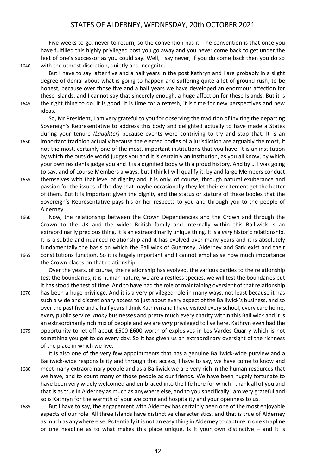Five weeks to go, never to return, so the convention has it. The convention is that once you have fulfilled this highly privileged post you go away and you never come back to get under the feet of one's successor as you could say. Well, I say never, if you do come back then you do so 1640 with the utmost discretion, quietly and incognito.

But I have to say, after five and a half years in the post Kathryn and I are probably in a slight degree of denial about what is going to happen and suffering quite a lot of ground rush, to be honest, because over those five and a half years we have developed an enormous affection for these Islands, and I cannot say that sincerely enough, a huge affection for these Islands. But it is 1645 the right thing to do. It is good. It is time for a refresh, it is time for new perspectives and new ideas.

So, Mr President, I am very grateful to you for observing the tradition of inviting the departing Sovereign's Representative to address this body and delighted actually to have made a States during your tenure *(Laughter)* because events were contriving to try and stop that. It is an

1650 important tradition actually because the elected bodies of a jurisdiction are arguably the most, if not the most, certainly one of the most, important institutions that you have. It is an institution by which the outside world judges you and it is certainly an institution, as you all know, by which your own residents judge you and it is a dignified body with a proud history. And by … I was going to say, and of course Members always, but I think I will qualify it, by and large Members conduct

- 1655 themselves with that level of dignity and it is only, of course, through natural exuberance and passion for the issues of the day that maybe occasionally they let their excitement get the better of them. But it is important given the dignity and the status or stature of these bodies that the Sovereign's Representative pays his or her respects to you and through you to the people of Alderney.
- 1660 Now, the relationship between the Crown Dependencies and the Crown and through the Crown to the UK and the wider British family and internally within this Bailiwick is an extraordinarily precious thing. It is an extraordinarily unique thing. It is a *very* historic relationship. It is a subtle and nuanced relationship and it has evolved over many years and it is absolutely fundamentally the basis on which the Bailiwick of Guernsey, Alderney and Sark exist and their 1665 constitutions function. So it is hugely important and I cannot emphasise how much importance

the Crown places on that relationship.

Over the years, of course, the relationship has evolved, the various parties to the relationship test the boundaries, it is human nature, we are a restless species, we will test the boundaries but it has stood the test of time. And to have had the role of maintaining oversight of that relationship

1670 has been a huge privilege. And it is a very privileged role in many ways, not least because it has such a wide and discretionary access to just about every aspect of the Bailiwick's business, and so over the past five and a half years I think Kathryn and I have visited every school, every care home, every public service, *many* businesses and pretty much every charity within this Bailiwick and it is an extraordinarily rich mix of people and we are *very* privileged to live here. Kathryn even had the 1675 opportunity to let off about £500-£600 worth of explosives in Les Vardes Quarry which is not something you get to do every day. So it has given us an extraordinary oversight of the richness of the place in which we live.

It is also one of the very few appointments that has a genuine Bailiwick-wide purview and a Bailiwick-wide responsibility and through that access, I have to say, we have come to know and 1680 meet many extraordinary people and as a Bailiwick we are very rich in the human resources that we have, and to count many of those people as our friends. We have been hugely fortunate to have been very widely welcomed and embraced into the life here for which I thank all of you and that is as true in Alderney as much as anywhere else, and to you specifically I am very grateful and so is Kathryn for the warmth of your welcome and hospitality and your openness to us.

1685 But I have to say, the engagement with Alderney has certainly been one of the most enjoyable aspects of our role. All three Islands have distinctive characteristics, and that is true of Alderney as much as anywhere else. Potentially it is not an easy thing in Alderney to capture in one strapline or one headline as to what makes this place unique. Is it your own distinctive  $-$  and it is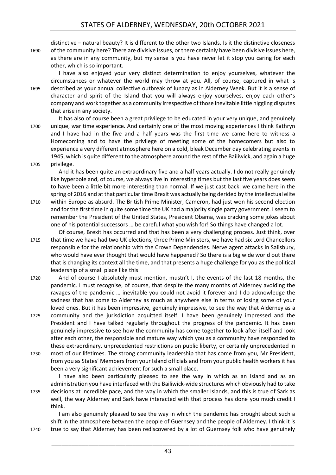distinctive – natural beauty? It is different to the other two Islands. Is it the distinctive closeness 1690 of the community here? There are divisive issues, or there certainly have been divisive issues here, as there are in any community, but my sense is you have never let it stop you caring for each other, which is so important.

I have also enjoyed your very distinct determination to enjoy yourselves, whatever the circumstances or whatever the world may throw at you. All, of course, captured in what is 1695 described as your annual collective outbreak of lunacy as in Alderney Week. But it is a sense of character and spirit of the Island that you will always enjoy yourselves, enjoy each other's company and work together as a community irrespective of those inevitable little niggling disputes that arise in any society.

It has also of course been a great privilege to be educated in your very unique, and genuinely 1700 unique, war time experience. And certainly one of the most moving experiences I think Kathryn and I have had in the five and a half years was the first time we came here to witness a Homecoming and to have the privilege of meeting some of the homecomers but also to experience a very different atmosphere here on a cold, bleak December day celebrating events in 1945, which is quite different to the atmosphere around the rest of the Bailiwick, and again a huge 1705 privilege.

And it has been quite an extraordinary five and a half years actually. I do not really genuinely like hyperbole and, of course, we always live in interesting times but the last five years does seem to have been a little bit more interesting than normal. If we just cast back: we came here in the spring of 2016 and at that particular time Brexit was actually being derided by the intellectual elite

1710 within Europe as absurd. The British Prime Minister, Cameron, had just won his second election and for the first time in quite some time the UK had a majority single party government. I seem to remember the President of the United States, President Obama, was cracking some jokes about one of his potential successors … be careful what you wish for! So things have changed a lot.

Of course, Brexit has occurred and that has been a very challenging process. Just think, over 1715 that time we have had two UK elections, three Prime Ministers, we have had six Lord Chancellors responsible for the relationship with the Crown Dependencies. Nerve agent attacks in Salisbury, who would have ever thought that would have happened? So there is a big wide world out there that is changing its context all the time, and that presents a huge challenge for you as the political leadership of a small place like this.

1720 And of course I absolutely must mention, mustn't I, the events of the last 18 months, the pandemic. I must recognise, of course, that despite the many months of Alderney avoiding the ravages of the pandemic … inevitable you could not avoid it forever and I do acknowledge the sadness that has come to Alderney as much as anywhere else in terms of losing some of your loved ones. But it has been impressive, genuinely impressive, to see the way that Alderney as a

1725 community and the jurisdiction acquitted itself. I have been genuinely impressed and the President and I have talked regularly throughout the progress of the pandemic. It has been genuinely impressive to see how the community has come together to look after itself and look after each other, the responsible and mature way which you as a community have responded to these extraordinary, unprecedented restrictions on public liberty, or certainly unprecedented in

1730 most of our lifetimes. The strong community leadership that has come from you, Mr President, from you as States' Members from your Island officials and from your public health workers it has been a very significant achievement for such a small place.

I have also been particularly pleased to see the way in which as an Island and as an administration you have interfaced with the Bailiwick-wide structures which obviously had to take 1735 decisions at incredible pace, and the way in which the smaller Islands, and this is true of Sark as well, the way Alderney and Sark have interacted with that process has done you much credit I think.

I am also genuinely pleased to see the way in which the pandemic has brought about such a shift in the atmosphere between the people of Guernsey and the people of Alderney. I think it is 1740 true to say that Alderney has been rediscovered by a lot of Guernsey folk who have genuinely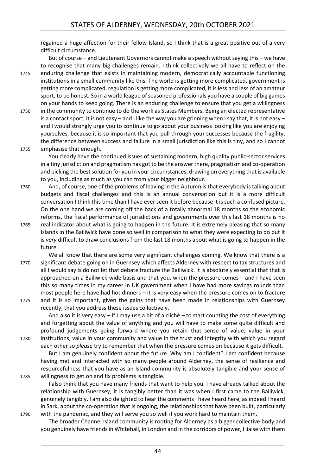regained a huge affection for their fellow Island, so I think that is a great positive out of a very difficult circumstance.

But of course – and Lieutenant Governors cannot make a speech without saying this – we have to recognise that many big challenges remain. I think collectively we all have to reflect on the 1745 enduring challenge that exists in maintaining modern, democratically accountable functioning institutions in a small community like this. The world is getting more complicated, government is getting more complicated, regulation is getting more complicated, it is less and less of an amateur sport, to be honest. So in a world league of seasoned professionals you have a couple of big games on your hands to keep going. There is an enduring challenge to ensure that you get a willingness

1750 in the community to continue to do the work as States Members. Being an elected representative is a contact sport, it is not easy – and I like the way you are grinning when Isay that, it is not easy – and I would strongly urge you to continue to go about your business looking like you are enjoying yourselves, because it is so important that you pull through your successes because the fragility, the difference between success and failure in a small jurisdiction like this is tiny, and so I cannot 1755 emphasise that enough.

You clearly have the continued issues of sustaining modern, high quality public-sector services in a tiny jurisdiction and pragmatism has got to be the answer there, pragmatism and co-operation and picking the best solution for you in your circumstances, drawing on everything that is available to you, including as much as you can from your bigger neighbour.

- 1760 And, of course, one of the problems of leaving in the Autumn is that everybody is talking about budgets and fiscal challenges and this is an annual conversation but it is a more difficult conversation I think this time than I have ever seen it before because it is such a confused picture. On the one hand we are coming off the back of a totally abnormal 18 months so the economic reforms, the fiscal performance of jurisdictions and governments over this last 18 months is no
- 1765 real indicator about what is going to happen in the future. It is extremely pleasing that so many Islands in the Bailiwick have done so well in comparison to what they were expecting to do but it is *very* difficult to draw conclusions from the last 18 months about what is going to happen in the future.
- We all know that there are some very significant challenges coming. We know that there is a 1770 significant debate going on in Guernsey which affects Alderney with respect to tax structures and all I would say is do not let that debate fracture the Bailiwick. It is absolutely essential that that is approached on a Bailiwick-wide basis and that you, when the pressure comes – and I have seen this so many times in my career in UK government when I have had more savings rounds than most people here have had hot dinners – it is very easy when the pressure comes on to fracture 1775 and it is so important, given the gains that have been made in relationships with Guernsey
- recently, that you address these issues collectively.

And also it is very easy  $-$  if I may use a bit of a cliché  $-$  to start counting the cost of everything and forgetting about the value of anything and you will have to make some quite difficult and profound judgements going forward where you retain that sense of value; value in your 1780 institutions, value in your community and value in the trust and integrity with which you regard each other so *please* try to remember that when the pressure comes on because it gets difficult.

But I am genuinely confident about the future. Why am I confident? I am confident because having met and interacted with so many people around Alderney, the sense of resilience and resourcefulness that you have as an Island community is absolutely tangible and your sense of 1785 willingness to get on and fix problems is tangible.

I also think that you have many friends that want to help you. I have already talked about the relationship with Guernsey, it is tangibly better than it was when I first came to the Bailiwick, genuinely tangibly. I am also delighted to hear the comments I have heard here, as indeed I heard in Sark, about the co-operation that is ongoing, the relationships that have been built, particularly 1790 with the pandemic, and they will serve you so well if you work hard to maintain them.

The broader Channel Island community is rooting for Alderney as a bigger collective body and you genuinely have friends in Whitehall, in London and in the corridors of power, I liaise with them